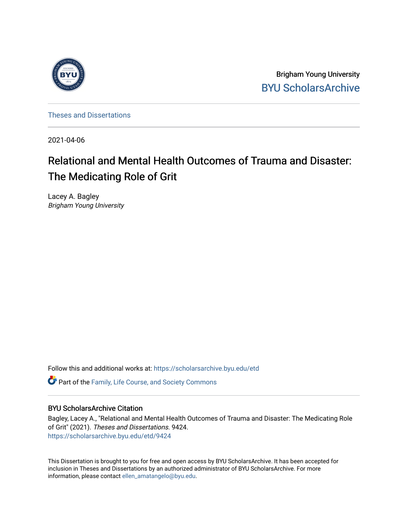

Brigham Young University [BYU ScholarsArchive](https://scholarsarchive.byu.edu/) 

[Theses and Dissertations](https://scholarsarchive.byu.edu/etd)

2021-04-06

# Relational and Mental Health Outcomes of Trauma and Disaster: The Medicating Role of Grit

Lacey A. Bagley Brigham Young University

Follow this and additional works at: [https://scholarsarchive.byu.edu/etd](https://scholarsarchive.byu.edu/etd?utm_source=scholarsarchive.byu.edu%2Fetd%2F9424&utm_medium=PDF&utm_campaign=PDFCoverPages)

**C** Part of the Family, Life Course, and Society Commons

### BYU ScholarsArchive Citation

Bagley, Lacey A., "Relational and Mental Health Outcomes of Trauma and Disaster: The Medicating Role of Grit" (2021). Theses and Dissertations. 9424. [https://scholarsarchive.byu.edu/etd/9424](https://scholarsarchive.byu.edu/etd/9424?utm_source=scholarsarchive.byu.edu%2Fetd%2F9424&utm_medium=PDF&utm_campaign=PDFCoverPages) 

This Dissertation is brought to you for free and open access by BYU ScholarsArchive. It has been accepted for inclusion in Theses and Dissertations by an authorized administrator of BYU ScholarsArchive. For more information, please contact [ellen\\_amatangelo@byu.edu.](mailto:ellen_amatangelo@byu.edu)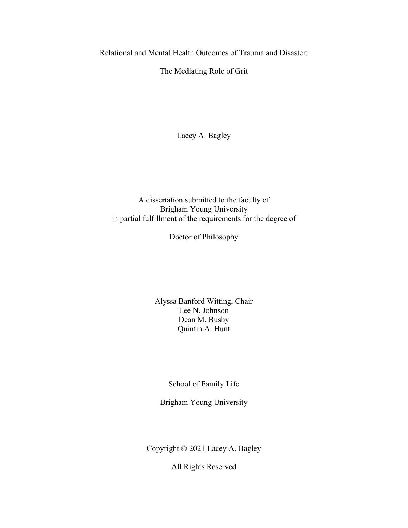<span id="page-1-0"></span>Relational and Mental Health Outcomes of Trauma and Disaster:

The Mediating Role of Grit

Lacey A. Bagley

A dissertation submitted to the faculty of Brigham Young University in partial fulfillment of the requirements for the degree of

Doctor of Philosophy

Alyssa Banford Witting, Chair Lee N. Johnson Dean M. Busby Quintin A. Hunt

School of Family Life

Brigham Young University

Copyright © 2021 Lacey A. Bagley

All Rights Reserved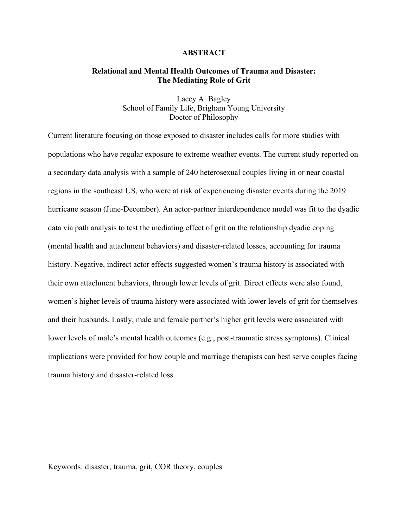#### **ABSTRACT**

#### <span id="page-2-0"></span>**Relational and Mental Health Outcomes of Trauma and Disaster: The Mediating Role of Grit**

Lacey A. Bagley School of Family Life, Brigham Young University Doctor of Philosophy

Current literature focusing on those exposed to disaster includes calls for more studies with populations who have regular exposure to extreme weather events. The current study reported on a secondary data analysis with a sample of 240 heterosexual couples living in or near coastal regions in the southeast US, who were at risk of experiencing disaster events during the 2019 hurricane season (June-December). An actor-partner interdependence model was fit to the dyadic data via path analysis to test the mediating effect of grit on the relationship dyadic coping (mental health and attachment behaviors) and disaster-related losses, accounting for trauma history. Negative, indirect actor effects suggested women's trauma history is associated with their own attachment behaviors, through lower levels of grit. Direct effects were also found, women's higher levels of trauma history were associated with lower levels of grit for themselves and their husbands. Lastly, male and female partner's higher grit levels were associated with lower levels of male's mental health outcomes (e.g., post-traumatic stress symptoms). Clinical implications were provided for how couple and marriage therapists can best serve couples facing trauma history and disaster-related loss.

Keywords: disaster, trauma, grit, COR theory, couples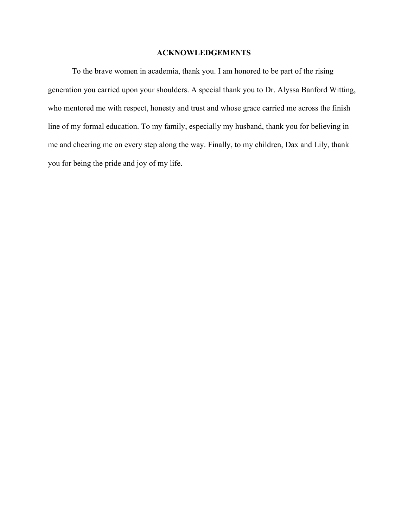#### **ACKNOWLEDGEMENTS**

<span id="page-3-0"></span>To the brave women in academia, thank you. I am honored to be part of the rising generation you carried upon your shoulders. A special thank you to Dr. Alyssa Banford Witting, who mentored me with respect, honesty and trust and whose grace carried me across the finish line of my formal education. To my family, especially my husband, thank you for believing in me and cheering me on every step along the way. Finally, to my children, Dax and Lily, thank you for being the pride and joy of my life.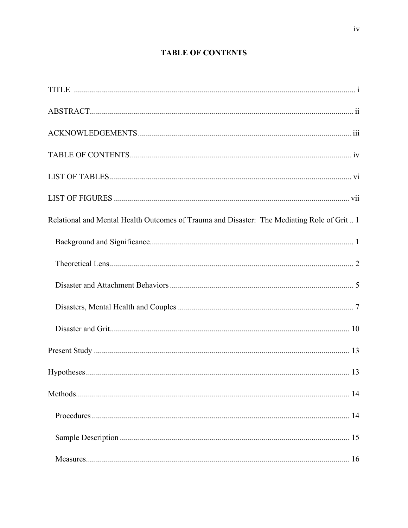## **TABLE OF CONTENTS**

<span id="page-4-0"></span>

| Relational and Mental Health Outcomes of Trauma and Disaster: The Mediating Role of Grit 1 |
|--------------------------------------------------------------------------------------------|
|                                                                                            |
|                                                                                            |
|                                                                                            |
|                                                                                            |
|                                                                                            |
|                                                                                            |
|                                                                                            |
|                                                                                            |
|                                                                                            |
|                                                                                            |
|                                                                                            |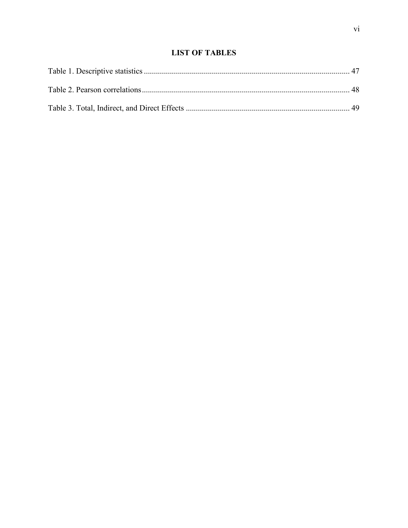## **LIST OF TABLES**

<span id="page-6-0"></span>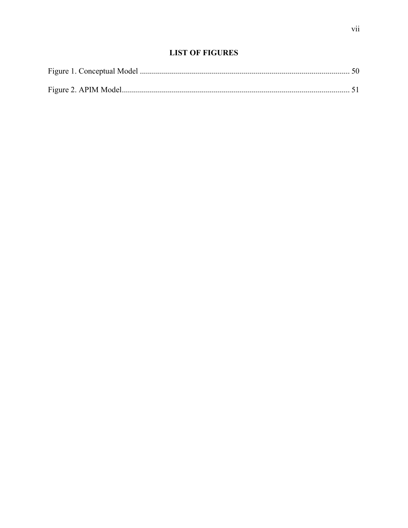<span id="page-7-0"></span>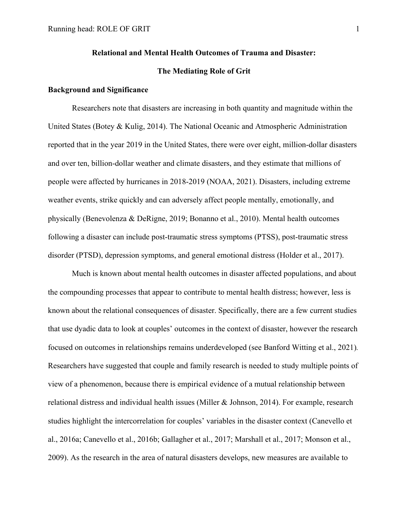#### **Relational and Mental Health Outcomes of Trauma and Disaster:**

#### **The Mediating Role of Grit**

#### <span id="page-8-1"></span><span id="page-8-0"></span>**Background and Significance**

 Researchers note that disasters are increasing in both quantity and magnitude within the United States (Botey & Kulig, 2014). The National Oceanic and Atmospheric Administration reported that in the year 2019 in the United States, there were over eight, million-dollar disasters and over ten, billion-dollar weather and climate disasters, and they estimate that millions of people were affected by hurricanes in 2018-2019 (NOAA, 2021). Disasters, including extreme weather events, strike quickly and can adversely affect people mentally, emotionally, and physically (Benevolenza & DeRigne, 2019; Bonanno et al., 2010). Mental health outcomes following a disaster can include post-traumatic stress symptoms (PTSS), post-traumatic stress disorder (PTSD), depression symptoms, and general emotional distress (Holder et al., 2017).

Much is known about mental health outcomes in disaster affected populations, and about the compounding processes that appear to contribute to mental health distress; however, less is known about the relational consequences of disaster. Specifically, there are a few current studies that use dyadic data to look at couples' outcomes in the context of disaster, however the research focused on outcomes in relationships remains underdeveloped (see Banford Witting et al., 2021)*.* Researchers have suggested that couple and family research is needed to study multiple points of view of a phenomenon, because there is empirical evidence of a mutual relationship between relational distress and individual health issues (Miller & Johnson, 2014). For example, research studies highlight the intercorrelation for couples' variables in the disaster context (Canevello et al., 2016a; Canevello et al., 2016b; Gallagher et al., 2017; Marshall et al., 2017; Monson et al., 2009). As the research in the area of natural disasters develops, new measures are available to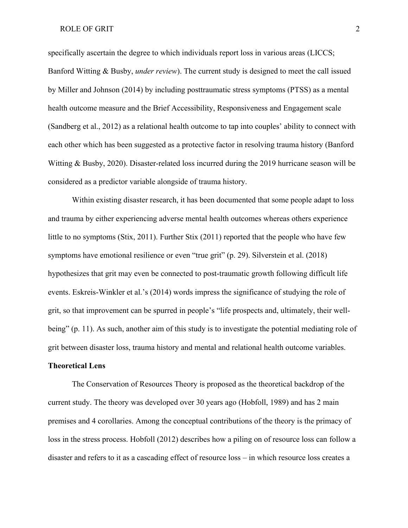specifically ascertain the degree to which individuals report loss in various areas (LICCS; Banford Witting & Busby, *under review*). The current study is designed to meet the call issued by Miller and Johnson (2014) by including posttraumatic stress symptoms (PTSS) as a mental health outcome measure and the Brief Accessibility, Responsiveness and Engagement scale (Sandberg et al., 2012) as a relational health outcome to tap into couples' ability to connect with each other which has been suggested as a protective factor in resolving trauma history (Banford Witting & Busby, 2020). Disaster-related loss incurred during the 2019 hurricane season will be considered as a predictor variable alongside of trauma history.

Within existing disaster research, it has been documented that some people adapt to loss and trauma by either experiencing adverse mental health outcomes whereas others experience little to no symptoms (Stix, 2011). Further Stix (2011) reported that the people who have few symptoms have emotional resilience or even "true grit" (p. 29). Silverstein et al. (2018) hypothesizes that grit may even be connected to post-traumatic growth following difficult life events. Eskreis-Winkler et al.'s (2014) words impress the significance of studying the role of grit, so that improvement can be spurred in people's "life prospects and, ultimately, their wellbeing" (p. 11). As such, another aim of this study is to investigate the potential mediating role of grit between disaster loss, trauma history and mental and relational health outcome variables.

### <span id="page-9-0"></span>**Theoretical Lens**

The Conservation of Resources Theory is proposed as the theoretical backdrop of the current study. The theory was developed over 30 years ago (Hobfoll, 1989) and has 2 main premises and 4 corollaries. Among the conceptual contributions of the theory is the primacy of loss in the stress process. Hobfoll (2012) describes how a piling on of resource loss can follow a disaster and refers to it as a cascading effect of resource loss – in which resource loss creates a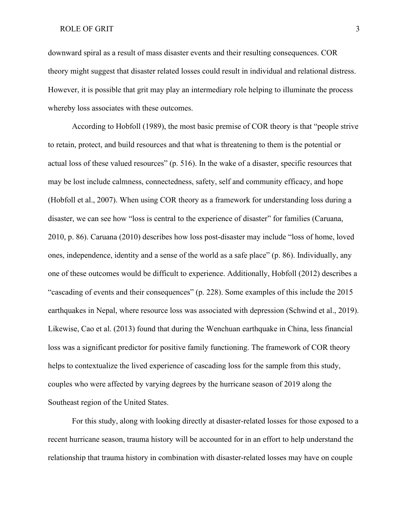downward spiral as a result of mass disaster events and their resulting consequences. COR theory might suggest that disaster related losses could result in individual and relational distress. However, it is possible that grit may play an intermediary role helping to illuminate the process whereby loss associates with these outcomes.

According to Hobfoll (1989), the most basic premise of COR theory is that "people strive to retain, protect, and build resources and that what is threatening to them is the potential or actual loss of these valued resources" (p. 516). In the wake of a disaster, specific resources that may be lost include calmness, connectedness, safety, self and community efficacy, and hope (Hobfoll et al., 2007). When using COR theory as a framework for understanding loss during a disaster, we can see how "loss is central to the experience of disaster" for families (Caruana, 2010, p. 86). Caruana (2010) describes how loss post-disaster may include "loss of home, loved ones, independence, identity and a sense of the world as a safe place" (p. 86). Individually, any one of these outcomes would be difficult to experience. Additionally, Hobfoll (2012) describes a "cascading of events and their consequences" (p. 228). Some examples of this include the 2015 earthquakes in Nepal, where resource loss was associated with depression (Schwind et al., 2019). Likewise, Cao et al. (2013) found that during the Wenchuan earthquake in China, less financial loss was a significant predictor for positive family functioning. The framework of COR theory helps to contextualize the lived experience of cascading loss for the sample from this study, couples who were affected by varying degrees by the hurricane season of 2019 along the Southeast region of the United States.

For this study, along with looking directly at disaster-related losses for those exposed to a recent hurricane season, trauma history will be accounted for in an effort to help understand the relationship that trauma history in combination with disaster-related losses may have on couple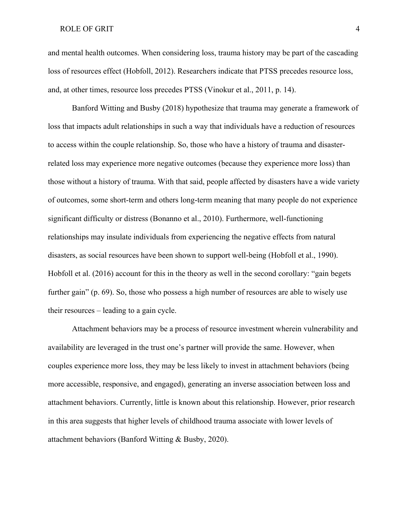and mental health outcomes. When considering loss, trauma history may be part of the cascading loss of resources effect (Hobfoll, 2012). Researchers indicate that PTSS precedes resource loss, and, at other times, resource loss precedes PTSS (Vinokur et al., 2011, p. 14).

Banford Witting and Busby (2018) hypothesize that trauma may generate a framework of loss that impacts adult relationships in such a way that individuals have a reduction of resources to access within the couple relationship. So, those who have a history of trauma and disasterrelated loss may experience more negative outcomes (because they experience more loss) than those without a history of trauma. With that said, people affected by disasters have a wide variety of outcomes, some short-term and others long-term meaning that many people do not experience significant difficulty or distress (Bonanno et al., 2010). Furthermore, well-functioning relationships may insulate individuals from experiencing the negative effects from natural disasters, as social resources have been shown to support well-being (Hobfoll et al., 1990). Hobfoll et al. (2016) account for this in the theory as well in the second corollary: "gain begets further gain" (p. 69). So, those who possess a high number of resources are able to wisely use their resources – leading to a gain cycle.

Attachment behaviors may be a process of resource investment wherein vulnerability and availability are leveraged in the trust one's partner will provide the same. However, when couples experience more loss, they may be less likely to invest in attachment behaviors (being more accessible, responsive, and engaged), generating an inverse association between loss and attachment behaviors. Currently, little is known about this relationship. However, prior research in this area suggests that higher levels of childhood trauma associate with lower levels of attachment behaviors (Banford Witting & Busby, 2020).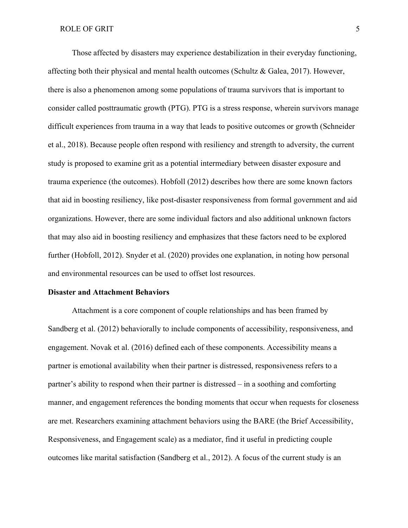Those affected by disasters may experience destabilization in their everyday functioning, affecting both their physical and mental health outcomes (Schultz & Galea, 2017). However, there is also a phenomenon among some populations of trauma survivors that is important to consider called posttraumatic growth (PTG). PTG is a stress response, wherein survivors manage difficult experiences from trauma in a way that leads to positive outcomes or growth (Schneider et al., 2018). Because people often respond with resiliency and strength to adversity, the current study is proposed to examine grit as a potential intermediary between disaster exposure and trauma experience (the outcomes). Hobfoll (2012) describes how there are some known factors that aid in boosting resiliency, like post-disaster responsiveness from formal government and aid organizations. However, there are some individual factors and also additional unknown factors that may also aid in boosting resiliency and emphasizes that these factors need to be explored further (Hobfoll, 2012). Snyder et al. (2020) provides one explanation, in noting how personal and environmental resources can be used to offset lost resources.

#### <span id="page-12-0"></span>**Disaster and Attachment Behaviors**

Attachment is a core component of couple relationships and has been framed by Sandberg et al. (2012) behaviorally to include components of accessibility, responsiveness, and engagement. Novak et al. (2016) defined each of these components. Accessibility means a partner is emotional availability when their partner is distressed, responsiveness refers to a partner's ability to respond when their partner is distressed – in a soothing and comforting manner, and engagement references the bonding moments that occur when requests for closeness are met. Researchers examining attachment behaviors using the BARE (the Brief Accessibility, Responsiveness, and Engagement scale) as a mediator, find it useful in predicting couple outcomes like marital satisfaction (Sandberg et al., 2012). A focus of the current study is an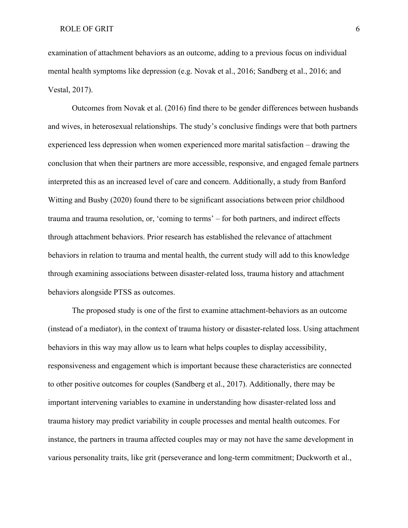examination of attachment behaviors as an outcome, adding to a previous focus on individual mental health symptoms like depression (e.g. Novak et al., 2016; Sandberg et al., 2016; and Vestal, 2017).

Outcomes from Novak et al. (2016) find there to be gender differences between husbands and wives, in heterosexual relationships. The study's conclusive findings were that both partners experienced less depression when women experienced more marital satisfaction – drawing the conclusion that when their partners are more accessible, responsive, and engaged female partners interpreted this as an increased level of care and concern. Additionally, a study from Banford Witting and Busby (2020) found there to be significant associations between prior childhood trauma and trauma resolution, or, 'coming to terms' – for both partners, and indirect effects through attachment behaviors. Prior research has established the relevance of attachment behaviors in relation to trauma and mental health, the current study will add to this knowledge through examining associations between disaster-related loss, trauma history and attachment behaviors alongside PTSS as outcomes.

The proposed study is one of the first to examine attachment-behaviors as an outcome (instead of a mediator), in the context of trauma history or disaster-related loss. Using attachment behaviors in this way may allow us to learn what helps couples to display accessibility, responsiveness and engagement which is important because these characteristics are connected to other positive outcomes for couples (Sandberg et al., 2017). Additionally, there may be important intervening variables to examine in understanding how disaster-related loss and trauma history may predict variability in couple processes and mental health outcomes. For instance, the partners in trauma affected couples may or may not have the same development in various personality traits, like grit (perseverance and long-term commitment; Duckworth et al.,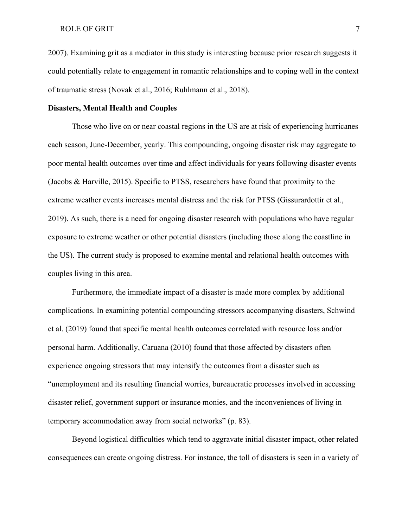2007). Examining grit as a mediator in this study is interesting because prior research suggests it could potentially relate to engagement in romantic relationships and to coping well in the context of traumatic stress (Novak et al., 2016; Ruhlmann et al., 2018).

#### <span id="page-14-0"></span>**Disasters, Mental Health and Couples**

 Those who live on or near coastal regions in the US are at risk of experiencing hurricanes each season, June-December, yearly. This compounding, ongoing disaster risk may aggregate to poor mental health outcomes over time and affect individuals for years following disaster events (Jacobs & Harville, 2015). Specific to PTSS, researchers have found that proximity to the extreme weather events increases mental distress and the risk for PTSS (Gissurardottir et al., 2019). As such, there is a need for ongoing disaster research with populations who have regular exposure to extreme weather or other potential disasters (including those along the coastline in the US). The current study is proposed to examine mental and relational health outcomes with couples living in this area.

Furthermore, the immediate impact of a disaster is made more complex by additional complications. In examining potential compounding stressors accompanying disasters, Schwind et al. (2019) found that specific mental health outcomes correlated with resource loss and/or personal harm. Additionally, Caruana (2010) found that those affected by disasters often experience ongoing stressors that may intensify the outcomes from a disaster such as "unemployment and its resulting financial worries, bureaucratic processes involved in accessing disaster relief, government support or insurance monies, and the inconveniences of living in temporary accommodation away from social networks" (p. 83).

Beyond logistical difficulties which tend to aggravate initial disaster impact, other related consequences can create ongoing distress. For instance, the toll of disasters is seen in a variety of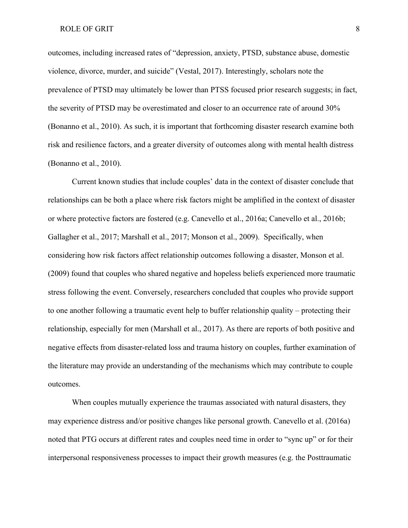outcomes, including increased rates of "depression, anxiety, PTSD, substance abuse, domestic violence, divorce, murder, and suicide" (Vestal, 2017). Interestingly, scholars note the prevalence of PTSD may ultimately be lower than PTSS focused prior research suggests; in fact, the severity of PTSD may be overestimated and closer to an occurrence rate of around 30% (Bonanno et al., 2010). As such, it is important that forthcoming disaster research examine both risk and resilience factors, and a greater diversity of outcomes along with mental health distress (Bonanno et al., 2010).

Current known studies that include couples' data in the context of disaster conclude that relationships can be both a place where risk factors might be amplified in the context of disaster or where protective factors are fostered (e.g. Canevello et al., 2016a; Canevello et al., 2016b; Gallagher et al., 2017; Marshall et al., 2017; Monson et al., 2009). Specifically, when considering how risk factors affect relationship outcomes following a disaster, Monson et al. (2009) found that couples who shared negative and hopeless beliefs experienced more traumatic stress following the event. Conversely, researchers concluded that couples who provide support to one another following a traumatic event help to buffer relationship quality – protecting their relationship, especially for men (Marshall et al., 2017). As there are reports of both positive and negative effects from disaster-related loss and trauma history on couples, further examination of the literature may provide an understanding of the mechanisms which may contribute to couple outcomes.

When couples mutually experience the traumas associated with natural disasters, they may experience distress and/or positive changes like personal growth. Canevello et al. (2016a) noted that PTG occurs at different rates and couples need time in order to "sync up" or for their interpersonal responsiveness processes to impact their growth measures (e.g. the Posttraumatic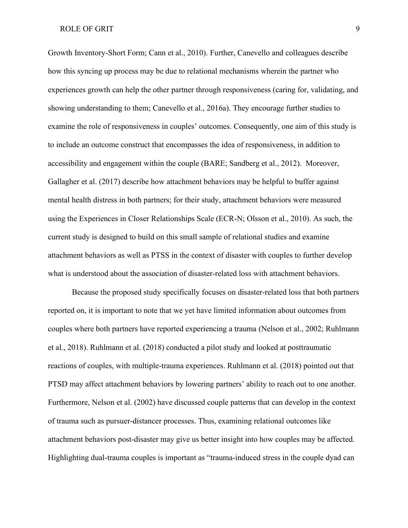Growth Inventory-Short Form; Cann et al., 2010). Further, Canevello and colleagues describe how this syncing up process may be due to relational mechanisms wherein the partner who experiences growth can help the other partner through responsiveness (caring for, validating, and showing understanding to them; Canevello et al., 2016a). They encourage further studies to examine the role of responsiveness in couples' outcomes. Consequently, one aim of this study is to include an outcome construct that encompasses the idea of responsiveness, in addition to accessibility and engagement within the couple (BARE; Sandberg et al., 2012). Moreover, Gallagher et al. (2017) describe how attachment behaviors may be helpful to buffer against mental health distress in both partners; for their study, attachment behaviors were measured using the Experiences in Closer Relationships Scale (ECR-N; Olsson et al., 2010). As such, the current study is designed to build on this small sample of relational studies and examine attachment behaviors as well as PTSS in the context of disaster with couples to further develop what is understood about the association of disaster-related loss with attachment behaviors.

Because the proposed study specifically focuses on disaster-related loss that both partners reported on, it is important to note that we yet have limited information about outcomes from couples where both partners have reported experiencing a trauma (Nelson et al., 2002; Ruhlmann et al., 2018). Ruhlmann et al. (2018) conducted a pilot study and looked at posttraumatic reactions of couples, with multiple-trauma experiences. Ruhlmann et al. (2018) pointed out that PTSD may affect attachment behaviors by lowering partners' ability to reach out to one another. Furthermore, Nelson et al. (2002) have discussed couple patterns that can develop in the context of trauma such as pursuer-distancer processes. Thus, examining relational outcomes like attachment behaviors post-disaster may give us better insight into how couples may be affected. Highlighting dual-trauma couples is important as "trauma-induced stress in the couple dyad can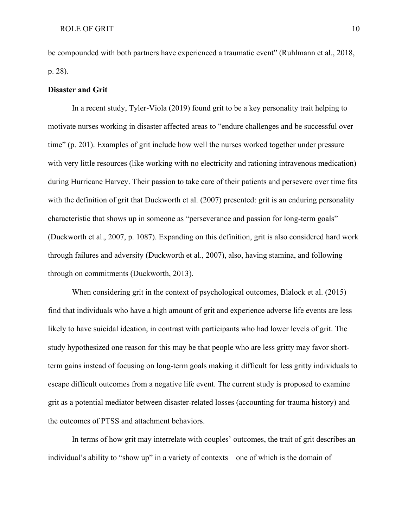be compounded with both partners have experienced a traumatic event" (Ruhlmann et al., 2018, p. 28).

#### <span id="page-17-0"></span>**Disaster and Grit**

In a recent study, Tyler-Viola (2019) found grit to be a key personality trait helping to motivate nurses working in disaster affected areas to "endure challenges and be successful over time" (p. 201). Examples of grit include how well the nurses worked together under pressure with very little resources (like working with no electricity and rationing intravenous medication) during Hurricane Harvey. Their passion to take care of their patients and persevere over time fits with the definition of grit that Duckworth et al. (2007) presented: grit is an enduring personality characteristic that shows up in someone as "perseverance and passion for long-term goals" (Duckworth et al., 2007, p. 1087). Expanding on this definition, grit is also considered hard work through failures and adversity (Duckworth et al., 2007), also, having stamina, and following through on commitments (Duckworth, 2013).

When considering grit in the context of psychological outcomes, Blalock et al. (2015) find that individuals who have a high amount of grit and experience adverse life events are less likely to have suicidal ideation, in contrast with participants who had lower levels of grit. The study hypothesized one reason for this may be that people who are less gritty may favor shortterm gains instead of focusing on long-term goals making it difficult for less gritty individuals to escape difficult outcomes from a negative life event. The current study is proposed to examine grit as a potential mediator between disaster-related losses (accounting for trauma history) and the outcomes of PTSS and attachment behaviors.

 In terms of how grit may interrelate with couples' outcomes, the trait of grit describes an individual's ability to "show up" in a variety of contexts – one of which is the domain of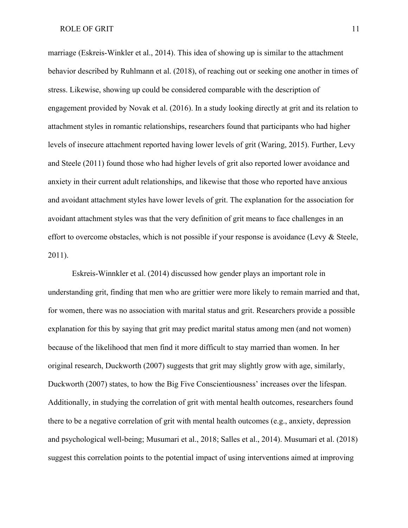marriage (Eskreis-Winkler et al., 2014). This idea of showing up is similar to the attachment behavior described by Ruhlmann et al. (2018), of reaching out or seeking one another in times of stress. Likewise, showing up could be considered comparable with the description of engagement provided by Novak et al. (2016). In a study looking directly at grit and its relation to attachment styles in romantic relationships, researchers found that participants who had higher levels of insecure attachment reported having lower levels of grit (Waring, 2015). Further, Levy and Steele (2011) found those who had higher levels of grit also reported lower avoidance and anxiety in their current adult relationships, and likewise that those who reported have anxious and avoidant attachment styles have lower levels of grit. The explanation for the association for avoidant attachment styles was that the very definition of grit means to face challenges in an effort to overcome obstacles, which is not possible if your response is avoidance (Levy & Steele, 2011).

Eskreis-Winnkler et al. (2014) discussed how gender plays an important role in understanding grit, finding that men who are grittier were more likely to remain married and that, for women, there was no association with marital status and grit. Researchers provide a possible explanation for this by saying that grit may predict marital status among men (and not women) because of the likelihood that men find it more difficult to stay married than women. In her original research, Duckworth (2007) suggests that grit may slightly grow with age, similarly, Duckworth (2007) states, to how the Big Five Conscientiousness' increases over the lifespan. Additionally, in studying the correlation of grit with mental health outcomes, researchers found there to be a negative correlation of grit with mental health outcomes (e.g., anxiety, depression and psychological well-being; Musumari et al., 2018; Salles et al., 2014). Musumari et al. (2018) suggest this correlation points to the potential impact of using interventions aimed at improving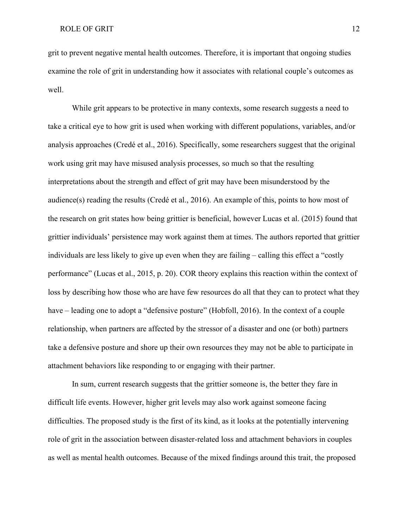grit to prevent negative mental health outcomes. Therefore, it is important that ongoing studies examine the role of grit in understanding how it associates with relational couple's outcomes as well.

While grit appears to be protective in many contexts, some research suggests a need to take a critical eye to how grit is used when working with different populations, variables, and/or analysis approaches (Credé et al., 2016). Specifically, some researchers suggest that the original work using grit may have misused analysis processes, so much so that the resulting interpretations about the strength and effect of grit may have been misunderstood by the audience(s) reading the results (Credé et al., 2016). An example of this, points to how most of the research on grit states how being grittier is beneficial, however Lucas et al. (2015) found that grittier individuals' persistence may work against them at times. The authors reported that grittier individuals are less likely to give up even when they are failing – calling this effect a "costly performance" (Lucas et al., 2015, p. 20). COR theory explains this reaction within the context of loss by describing how those who are have few resources do all that they can to protect what they have – leading one to adopt a "defensive posture" (Hobfoll, 2016). In the context of a couple relationship, when partners are affected by the stressor of a disaster and one (or both) partners take a defensive posture and shore up their own resources they may not be able to participate in attachment behaviors like responding to or engaging with their partner.

In sum, current research suggests that the grittier someone is, the better they fare in difficult life events. However, higher grit levels may also work against someone facing difficulties. The proposed study is the first of its kind, as it looks at the potentially intervening role of grit in the association between disaster-related loss and attachment behaviors in couples as well as mental health outcomes. Because of the mixed findings around this trait, the proposed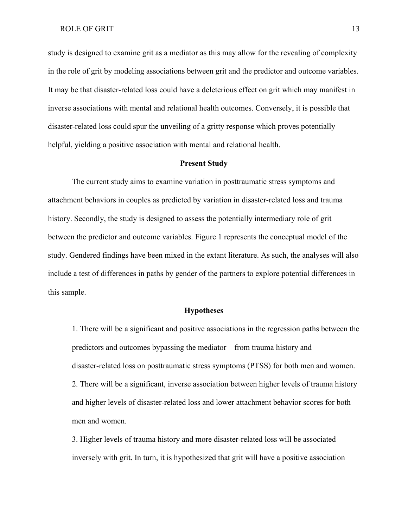study is designed to examine grit as a mediator as this may allow for the revealing of complexity in the role of grit by modeling associations between grit and the predictor and outcome variables. It may be that disaster-related loss could have a deleterious effect on grit which may manifest in inverse associations with mental and relational health outcomes. Conversely, it is possible that disaster-related loss could spur the unveiling of a gritty response which proves potentially helpful, yielding a positive association with mental and relational health.

#### **Present Study**

<span id="page-20-0"></span>The current study aims to examine variation in posttraumatic stress symptoms and attachment behaviors in couples as predicted by variation in disaster-related loss and trauma history. Secondly, the study is designed to assess the potentially intermediary role of grit between the predictor and outcome variables. Figure 1 represents the conceptual model of the study. Gendered findings have been mixed in the extant literature. As such, the analyses will also include a test of differences in paths by gender of the partners to explore potential differences in this sample.

#### **Hypotheses**

<span id="page-20-1"></span> 1. There will be a significant and positive associations in the regression paths between the predictors and outcomes bypassing the mediator – from trauma history and disaster-related loss on posttraumatic stress symptoms (PTSS) for both men and women. 2. There will be a significant, inverse association between higher levels of trauma history and higher levels of disaster-related loss and lower attachment behavior scores for both men and women.

 3. Higher levels of trauma history and more disaster-related loss will be associated inversely with grit. In turn, it is hypothesized that grit will have a positive association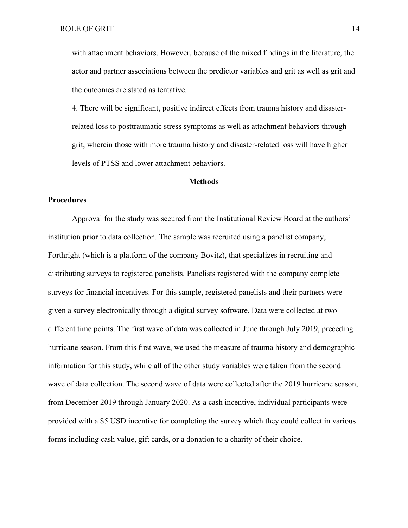with attachment behaviors. However, because of the mixed findings in the literature, the actor and partner associations between the predictor variables and grit as well as grit and the outcomes are stated as tentative.

 4. There will be significant, positive indirect effects from trauma history and disasterrelated loss to posttraumatic stress symptoms as well as attachment behaviors through grit, wherein those with more trauma history and disaster-related loss will have higher levels of PTSS and lower attachment behaviors.

#### **Methods**

#### <span id="page-21-1"></span><span id="page-21-0"></span>**Procedures**

Approval for the study was secured from the Institutional Review Board at the authors' institution prior to data collection. The sample was recruited using a panelist company, Forthright (which is a platform of the company Bovitz), that specializes in recruiting and distributing surveys to registered panelists. Panelists registered with the company complete surveys for financial incentives. For this sample, registered panelists and their partners were given a survey electronically through a digital survey software. Data were collected at two different time points. The first wave of data was collected in June through July 2019, preceding hurricane season. From this first wave, we used the measure of trauma history and demographic information for this study, while all of the other study variables were taken from the second wave of data collection. The second wave of data were collected after the 2019 hurricane season, from December 2019 through January 2020. As a cash incentive, individual participants were provided with a \$5 USD incentive for completing the survey which they could collect in various forms including cash value, gift cards, or a donation to a charity of their choice.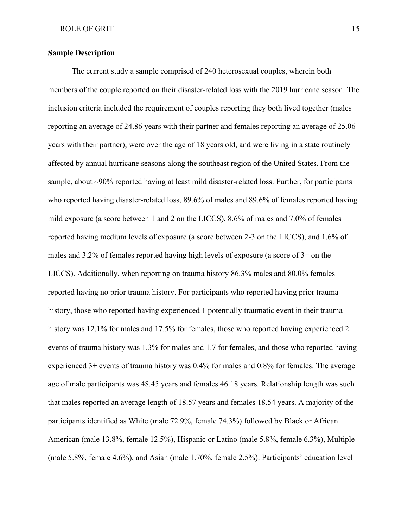#### <span id="page-22-0"></span>**Sample Description**

The current study a sample comprised of 240 heterosexual couples, wherein both members of the couple reported on their disaster-related loss with the 2019 hurricane season. The inclusion criteria included the requirement of couples reporting they both lived together (males reporting an average of 24.86 years with their partner and females reporting an average of 25.06 years with their partner), were over the age of 18 years old, and were living in a state routinely affected by annual hurricane seasons along the southeast region of the United States. From the sample, about ~90% reported having at least mild disaster-related loss. Further, for participants who reported having disaster-related loss, 89.6% of males and 89.6% of females reported having mild exposure (a score between 1 and 2 on the LICCS), 8.6% of males and 7.0% of females reported having medium levels of exposure (a score between 2-3 on the LICCS), and 1.6% of males and 3.2% of females reported having high levels of exposure (a score of 3+ on the LICCS). Additionally, when reporting on trauma history 86.3% males and 80.0% females reported having no prior trauma history. For participants who reported having prior trauma history, those who reported having experienced 1 potentially traumatic event in their trauma history was 12.1% for males and 17.5% for females, those who reported having experienced 2 events of trauma history was 1.3% for males and 1.7 for females, and those who reported having experienced 3+ events of trauma history was 0.4% for males and 0.8% for females. The average age of male participants was 48.45 years and females 46.18 years. Relationship length was such that males reported an average length of 18.57 years and females 18.54 years. A majority of the participants identified as White (male 72.9%, female 74.3%) followed by Black or African American (male 13.8%, female 12.5%), Hispanic or Latino (male 5.8%, female 6.3%), Multiple (male 5.8%, female 4.6%), and Asian (male 1.70%, female 2.5%). Participants' education level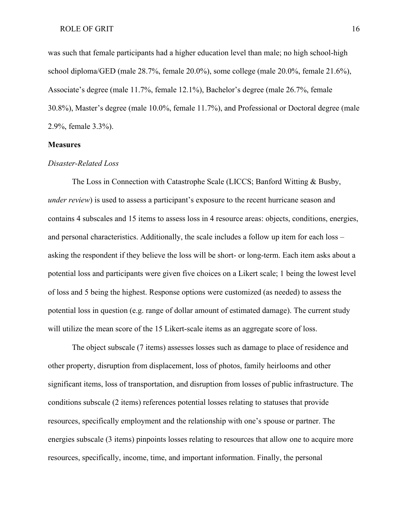was such that female participants had a higher education level than male; no high school-high school diploma/GED (male 28.7%, female 20.0%), some college (male 20.0%, female 21.6%), Associate's degree (male 11.7%, female 12.1%), Bachelor's degree (male 26.7%, female 30.8%), Master's degree (male 10.0%, female 11.7%), and Professional or Doctoral degree (male 2.9%, female 3.3%).

#### <span id="page-23-0"></span>**Measures**

#### <span id="page-23-1"></span>*Disaster-Related Loss*

The Loss in Connection with Catastrophe Scale (LICCS; Banford Witting & Busby, *under review*) is used to assess a participant's exposure to the recent hurricane season and contains 4 subscales and 15 items to assess loss in 4 resource areas: objects, conditions, energies, and personal characteristics. Additionally, the scale includes a follow up item for each loss – asking the respondent if they believe the loss will be short- or long-term. Each item asks about a potential loss and participants were given five choices on a Likert scale; 1 being the lowest level of loss and 5 being the highest. Response options were customized (as needed) to assess the potential loss in question (e.g. range of dollar amount of estimated damage). The current study will utilize the mean score of the 15 Likert-scale items as an aggregate score of loss.

The object subscale (7 items) assesses losses such as damage to place of residence and other property, disruption from displacement, loss of photos, family heirlooms and other significant items, loss of transportation, and disruption from losses of public infrastructure. The conditions subscale (2 items) references potential losses relating to statuses that provide resources, specifically employment and the relationship with one's spouse or partner. The energies subscale (3 items) pinpoints losses relating to resources that allow one to acquire more resources, specifically, income, time, and important information. Finally, the personal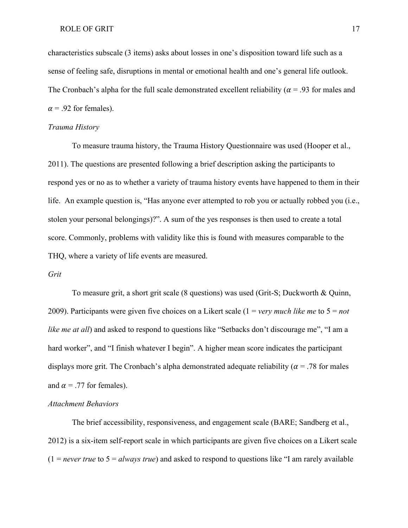characteristics subscale (3 items) asks about losses in one's disposition toward life such as a sense of feeling safe, disruptions in mental or emotional health and one's general life outlook. The Cronbach's alpha for the full scale demonstrated excellent reliability ( $\alpha$  = .93 for males and  $\alpha$  = .92 for females).

#### <span id="page-24-0"></span>*Trauma History*

To measure trauma history, the Trauma History Questionnaire was used (Hooper et al., 2011). The questions are presented following a brief description asking the participants to respond yes or no as to whether a variety of trauma history events have happened to them in their life. An example question is, "Has anyone ever attempted to rob you or actually robbed you (i.e., stolen your personal belongings)?". A sum of the yes responses is then used to create a total score. Commonly, problems with validity like this is found with measures comparable to the THQ, where a variety of life events are measured.

#### <span id="page-24-1"></span>*Grit*

To measure grit, a short grit scale (8 questions) was used (Grit-S; Duckworth & Quinn, 2009). Participants were given five choices on a Likert scale (1 = *very much like me* to 5 = *not like me at all*) and asked to respond to questions like "Setbacks don't discourage me", "I am a hard worker", and "I finish whatever I begin". A higher mean score indicates the participant displays more grit. The Cronbach's alpha demonstrated adequate reliability ( $\alpha$  = .78 for males and  $\alpha$  = .77 for females).

#### <span id="page-24-2"></span>*Attachment Behaviors*

The brief accessibility, responsiveness, and engagement scale (BARE; Sandberg et al., 2012) is a six-item self-report scale in which participants are given five choices on a Likert scale  $(1 = never true to 5 = always true)$  and asked to respond to questions like "I am rarely available"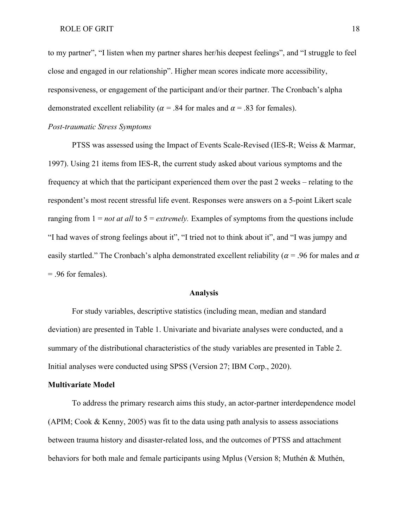to my partner", "I listen when my partner shares her/his deepest feelings", and "I struggle to feel close and engaged in our relationship". Higher mean scores indicate more accessibility, responsiveness, or engagement of the participant and/or their partner. The Cronbach's alpha demonstrated excellent reliability ( $\alpha$  = .84 for males and  $\alpha$  = .83 for females).

#### <span id="page-25-0"></span>*Post-traumatic Stress Symptoms*

PTSS was assessed using the Impact of Events Scale-Revised (IES-R; Weiss & Marmar, 1997). Using 21 items from IES-R, the current study asked about various symptoms and the frequency at which that the participant experienced them over the past 2 weeks – relating to the respondent's most recent stressful life event. Responses were answers on a 5-point Likert scale ranging from 1 = *not at all* to 5 = *extremely.* Examples of symptoms from the questions include "I had waves of strong feelings about it", "I tried not to think about it", and "I was jumpy and easily startled." The Cronbach's alpha demonstrated excellent reliability ( $\alpha$  = .96 for males and  $\alpha$ = .96 for females).

#### **Analysis**

<span id="page-25-1"></span>For study variables, descriptive statistics (including mean, median and standard deviation) are presented in Table 1. Univariate and bivariate analyses were conducted, and a summary of the distributional characteristics of the study variables are presented in Table 2. Initial analyses were conducted using SPSS (Version 27; IBM Corp., 2020).

#### <span id="page-25-2"></span>**Multivariate Model**

To address the primary research aims this study, an actor-partner interdependence model (APIM; Cook & Kenny, 2005) was fit to the data using path analysis to assess associations between trauma history and disaster-related loss, and the outcomes of PTSS and attachment behaviors for both male and female participants using Mplus (Version 8; Muthén & Muthén,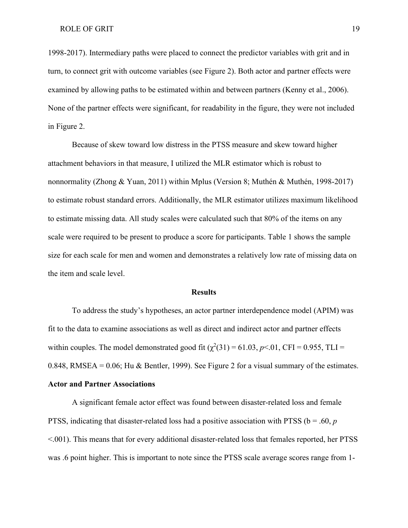1998-2017). Intermediary paths were placed to connect the predictor variables with grit and in turn, to connect grit with outcome variables (see Figure 2). Both actor and partner effects were examined by allowing paths to be estimated within and between partners (Kenny et al., 2006). None of the partner effects were significant, for readability in the figure, they were not included in Figure 2.

Because of skew toward low distress in the PTSS measure and skew toward higher attachment behaviors in that measure, I utilized the MLR estimator which is robust to nonnormality (Zhong & Yuan, 2011) within Mplus (Version 8; Muthén & Muthén, 1998-2017) to estimate robust standard errors. Additionally, the MLR estimator utilizes maximum likelihood to estimate missing data. All study scales were calculated such that 80% of the items on any scale were required to be present to produce a score for participants. Table 1 shows the sample size for each scale for men and women and demonstrates a relatively low rate of missing data on the item and scale level.

#### **Results**

<span id="page-26-0"></span>To address the study's hypotheses, an actor partner interdependence model (APIM) was fit to the data to examine associations as well as direct and indirect actor and partner effects within couples. The model demonstrated good fit  $(\chi^2(31) = 61.03, p<.01, CFI = 0.955, TLI =$ 0.848, RMSEA = 0.06; Hu & Bentler, 1999). See Figure 2 for a visual summary of the estimates. **Actor and Partner Associations**

<span id="page-26-1"></span>A significant female actor effect was found between disaster-related loss and female PTSS, indicating that disaster-related loss had a positive association with PTSS (b = .60, *p* <.001). This means that for every additional disaster-related loss that females reported, her PTSS was .6 point higher. This is important to note since the PTSS scale average scores range from 1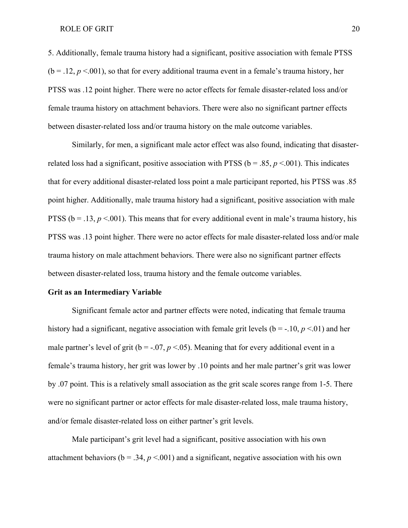5. Additionally, female trauma history had a significant, positive association with female PTSS  $(b = .12, p < .001)$ , so that for every additional trauma event in a female's trauma history, her PTSS was .12 point higher. There were no actor effects for female disaster-related loss and/or female trauma history on attachment behaviors. There were also no significant partner effects between disaster-related loss and/or trauma history on the male outcome variables.

Similarly, for men, a significant male actor effect was also found, indicating that disasterrelated loss had a significant, positive association with PTSS ( $b = .85$ ,  $p < .001$ ). This indicates that for every additional disaster-related loss point a male participant reported, his PTSS was .85 point higher. Additionally, male trauma history had a significant, positive association with male PTSS ( $b = .13$ ,  $p < .001$ ). This means that for every additional event in male's trauma history, his PTSS was .13 point higher. There were no actor effects for male disaster-related loss and/or male trauma history on male attachment behaviors. There were also no significant partner effects between disaster-related loss, trauma history and the female outcome variables.

#### <span id="page-27-0"></span>**Grit as an Intermediary Variable**

Significant female actor and partner effects were noted, indicating that female trauma history had a significant, negative association with female grit levels ( $b = -10$ ,  $p < 01$ ) and her male partner's level of grit ( $b = -0.07$ ,  $p < 0.05$ ). Meaning that for every additional event in a female's trauma history, her grit was lower by .10 points and her male partner's grit was lower by .07 point. This is a relatively small association as the grit scale scores range from 1-5. There were no significant partner or actor effects for male disaster-related loss, male trauma history, and/or female disaster-related loss on either partner's grit levels.

Male participant's grit level had a significant, positive association with his own attachment behaviors ( $b = .34$ ,  $p < .001$ ) and a significant, negative association with his own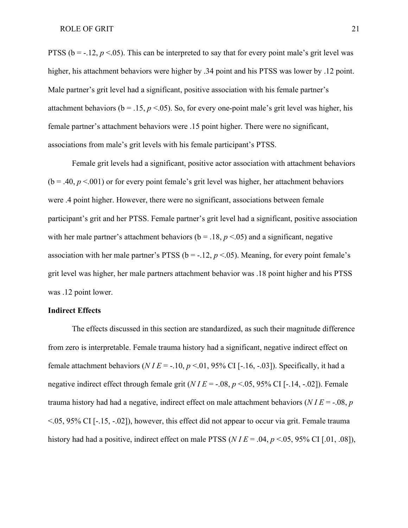PTSS ( $b = -12$ ,  $p < 0.05$ ). This can be interpreted to say that for every point male's grit level was higher, his attachment behaviors were higher by .34 point and his PTSS was lower by .12 point. Male partner's grit level had a significant, positive association with his female partner's attachment behaviors ( $b = 0.15$ ,  $p < 0.05$ ). So, for every one-point male's grit level was higher, his female partner's attachment behaviors were .15 point higher. There were no significant, associations from male's grit levels with his female participant's PTSS.

Female grit levels had a significant, positive actor association with attachment behaviors  $(b = .40, p < .001)$  or for every point female's grit level was higher, her attachment behaviors were .4 point higher. However, there were no significant, associations between female participant's grit and her PTSS. Female partner's grit level had a significant, positive association with her male partner's attachment behaviors ( $b = 0.18$ ,  $p < 0.05$ ) and a significant, negative association with her male partner's PTSS ( $b = -.12$ ,  $p < .05$ ). Meaning, for every point female's grit level was higher, her male partners attachment behavior was .18 point higher and his PTSS was .12 point lower.

#### <span id="page-28-0"></span>**Indirect Effects**

The effects discussed in this section are standardized, as such their magnitude difference from zero is interpretable. Female trauma history had a significant, negative indirect effect on female attachment behaviors ( $NIE = -.10$ ,  $p < .01$ , 95% CI [-.16, -.03]). Specifically, it had a negative indirect effect through female grit  $(NIE = -.08, p < .05, 95\% \text{ CI}$  [-.14, -.02]). Female trauma history had had a negative, indirect effect on male attachment behaviors (*N I E* = -.08, *p* <.05, 95% CI [-.15, -.02]), however, this effect did not appear to occur via grit. Female trauma history had had a positive, indirect effect on male PTSS (*N I E* = .04, *p* <.05, 95% CI [.01, .08]),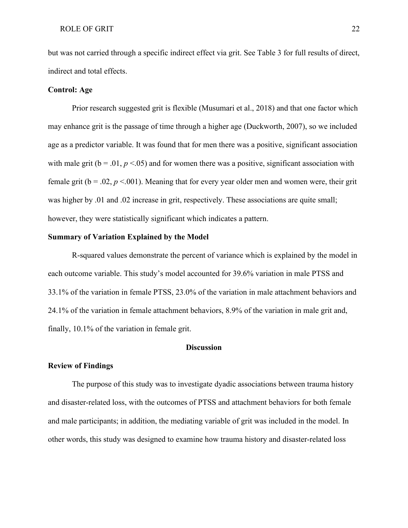but was not carried through a specific indirect effect via grit. See Table 3 for full results of direct, indirect and total effects.

#### <span id="page-29-0"></span>**Control: Age**

Prior research suggested grit is flexible (Musumari et al., 2018) and that one factor which may enhance grit is the passage of time through a higher age (Duckworth, 2007), so we included age as a predictor variable. It was found that for men there was a positive, significant association with male grit ( $b = .01$ ,  $p < .05$ ) and for women there was a positive, significant association with female grit ( $b = .02$ ,  $p < .001$ ). Meaning that for every year older men and women were, their grit was higher by .01 and .02 increase in grit, respectively. These associations are quite small; however, they were statistically significant which indicates a pattern.

#### <span id="page-29-1"></span>**Summary of Variation Explained by the Model**

R-squared values demonstrate the percent of variance which is explained by the model in each outcome variable. This study's model accounted for 39.6% variation in male PTSS and 33.1% of the variation in female PTSS, 23.0% of the variation in male attachment behaviors and 24.1% of the variation in female attachment behaviors, 8.9% of the variation in male grit and, finally, 10.1% of the variation in female grit.

#### **Discussion**

#### <span id="page-29-3"></span><span id="page-29-2"></span>**Review of Findings**

The purpose of this study was to investigate dyadic associations between trauma history and disaster-related loss, with the outcomes of PTSS and attachment behaviors for both female and male participants; in addition, the mediating variable of grit was included in the model. In other words, this study was designed to examine how trauma history and disaster-related loss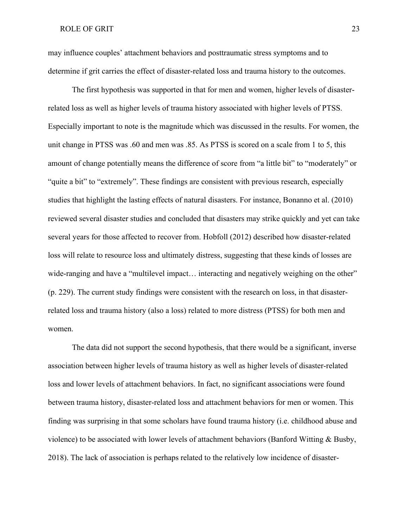may influence couples' attachment behaviors and posttraumatic stress symptoms and to determine if grit carries the effect of disaster-related loss and trauma history to the outcomes.

The first hypothesis was supported in that for men and women, higher levels of disasterrelated loss as well as higher levels of trauma history associated with higher levels of PTSS. Especially important to note is the magnitude which was discussed in the results. For women, the unit change in PTSS was .60 and men was .85. As PTSS is scored on a scale from 1 to 5, this amount of change potentially means the difference of score from "a little bit" to "moderately" or "quite a bit" to "extremely". These findings are consistent with previous research, especially studies that highlight the lasting effects of natural disasters. For instance, Bonanno et al. (2010) reviewed several disaster studies and concluded that disasters may strike quickly and yet can take several years for those affected to recover from. Hobfoll (2012) described how disaster-related loss will relate to resource loss and ultimately distress, suggesting that these kinds of losses are wide-ranging and have a "multilevel impact... interacting and negatively weighing on the other" (p. 229). The current study findings were consistent with the research on loss, in that disasterrelated loss and trauma history (also a loss) related to more distress (PTSS) for both men and women.

The data did not support the second hypothesis, that there would be a significant, inverse association between higher levels of trauma history as well as higher levels of disaster-related loss and lower levels of attachment behaviors. In fact, no significant associations were found between trauma history, disaster-related loss and attachment behaviors for men or women. This finding was surprising in that some scholars have found trauma history (i.e. childhood abuse and violence) to be associated with lower levels of attachment behaviors (Banford Witting  $\&$  Busby, 2018). The lack of association is perhaps related to the relatively low incidence of disaster-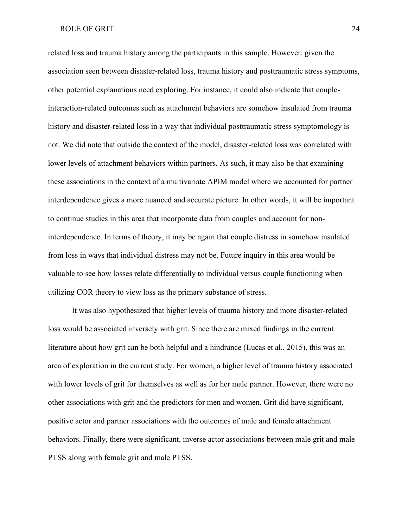related loss and trauma history among the participants in this sample. However, given the association seen between disaster-related loss, trauma history and posttraumatic stress symptoms, other potential explanations need exploring. For instance, it could also indicate that coupleinteraction-related outcomes such as attachment behaviors are somehow insulated from trauma history and disaster-related loss in a way that individual posttraumatic stress symptomology is not. We did note that outside the context of the model, disaster-related loss was correlated with lower levels of attachment behaviors within partners. As such, it may also be that examining these associations in the context of a multivariate APIM model where we accounted for partner interdependence gives a more nuanced and accurate picture. In other words, it will be important to continue studies in this area that incorporate data from couples and account for noninterdependence. In terms of theory, it may be again that couple distress in somehow insulated from loss in ways that individual distress may not be. Future inquiry in this area would be valuable to see how losses relate differentially to individual versus couple functioning when utilizing COR theory to view loss as the primary substance of stress.

It was also hypothesized that higher levels of trauma history and more disaster-related loss would be associated inversely with grit. Since there are mixed findings in the current literature about how grit can be both helpful and a hindrance (Lucas et al., 2015), this was an area of exploration in the current study. For women, a higher level of trauma history associated with lower levels of grit for themselves as well as for her male partner. However, there were no other associations with grit and the predictors for men and women. Grit did have significant, positive actor and partner associations with the outcomes of male and female attachment behaviors. Finally, there were significant, inverse actor associations between male grit and male PTSS along with female grit and male PTSS.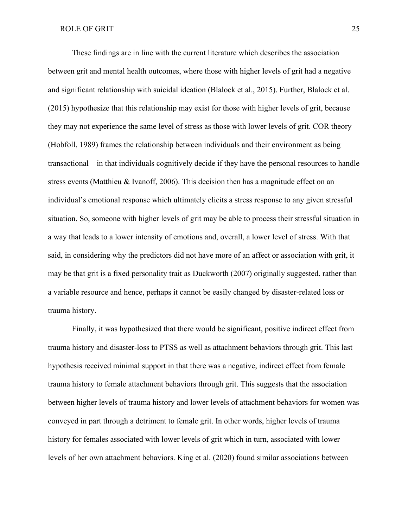These findings are in line with the current literature which describes the association between grit and mental health outcomes, where those with higher levels of grit had a negative and significant relationship with suicidal ideation (Blalock et al., 2015). Further, Blalock et al. (2015) hypothesize that this relationship may exist for those with higher levels of grit, because they may not experience the same level of stress as those with lower levels of grit. COR theory (Hobfoll, 1989) frames the relationship between individuals and their environment as being transactional – in that individuals cognitively decide if they have the personal resources to handle stress events (Matthieu & Ivanoff, 2006). This decision then has a magnitude effect on an individual's emotional response which ultimately elicits a stress response to any given stressful situation. So, someone with higher levels of grit may be able to process their stressful situation in a way that leads to a lower intensity of emotions and, overall, a lower level of stress. With that said, in considering why the predictors did not have more of an affect or association with grit, it may be that grit is a fixed personality trait as Duckworth (2007) originally suggested, rather than a variable resource and hence, perhaps it cannot be easily changed by disaster-related loss or trauma history.

Finally, it was hypothesized that there would be significant, positive indirect effect from trauma history and disaster-loss to PTSS as well as attachment behaviors through grit. This last hypothesis received minimal support in that there was a negative, indirect effect from female trauma history to female attachment behaviors through grit. This suggests that the association between higher levels of trauma history and lower levels of attachment behaviors for women was conveyed in part through a detriment to female grit. In other words, higher levels of trauma history for females associated with lower levels of grit which in turn, associated with lower levels of her own attachment behaviors. King et al. (2020) found similar associations between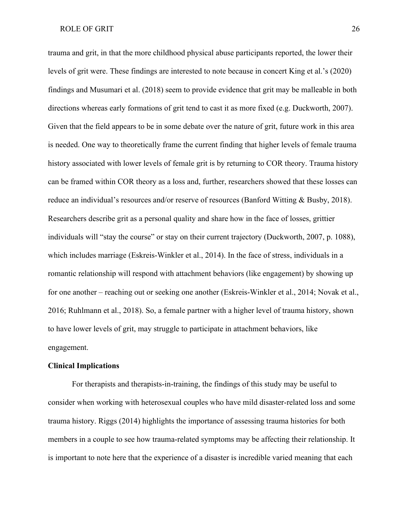trauma and grit, in that the more childhood physical abuse participants reported, the lower their levels of grit were. These findings are interested to note because in concert King et al.'s (2020) findings and Musumari et al. (2018) seem to provide evidence that grit may be malleable in both directions whereas early formations of grit tend to cast it as more fixed (e.g. Duckworth, 2007). Given that the field appears to be in some debate over the nature of grit, future work in this area is needed. One way to theoretically frame the current finding that higher levels of female trauma history associated with lower levels of female grit is by returning to COR theory. Trauma history can be framed within COR theory as a loss and, further, researchers showed that these losses can reduce an individual's resources and/or reserve of resources (Banford Witting & Busby, 2018). Researchers describe grit as a personal quality and share how in the face of losses, grittier individuals will "stay the course" or stay on their current trajectory (Duckworth, 2007, p. 1088), which includes marriage (Eskreis-Winkler et al., 2014). In the face of stress, individuals in a romantic relationship will respond with attachment behaviors (like engagement) by showing up for one another – reaching out or seeking one another (Eskreis-Winkler et al., 2014; Novak et al., 2016; Ruhlmann et al., 2018). So, a female partner with a higher level of trauma history, shown to have lower levels of grit, may struggle to participate in attachment behaviors, like engagement.

#### <span id="page-33-0"></span>**Clinical Implications**

For therapists and therapists-in-training, the findings of this study may be useful to consider when working with heterosexual couples who have mild disaster-related loss and some trauma history. Riggs (2014) highlights the importance of assessing trauma histories for both members in a couple to see how trauma-related symptoms may be affecting their relationship. It is important to note here that the experience of a disaster is incredible varied meaning that each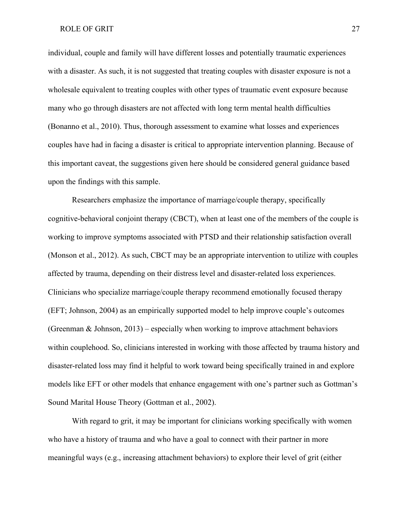individual, couple and family will have different losses and potentially traumatic experiences with a disaster. As such, it is not suggested that treating couples with disaster exposure is not a wholesale equivalent to treating couples with other types of traumatic event exposure because many who go through disasters are not affected with long term mental health difficulties (Bonanno et al., 2010). Thus, thorough assessment to examine what losses and experiences couples have had in facing a disaster is critical to appropriate intervention planning. Because of this important caveat, the suggestions given here should be considered general guidance based upon the findings with this sample.

Researchers emphasize the importance of marriage/couple therapy, specifically cognitive-behavioral conjoint therapy (CBCT), when at least one of the members of the couple is working to improve symptoms associated with PTSD and their relationship satisfaction overall (Monson et al., 2012). As such, CBCT may be an appropriate intervention to utilize with couples affected by trauma, depending on their distress level and disaster-related loss experiences. Clinicians who specialize marriage/couple therapy recommend emotionally focused therapy (EFT; Johnson, 2004) as an empirically supported model to help improve couple's outcomes (Greenman & Johnson, 2013) – especially when working to improve attachment behaviors within couplehood. So, clinicians interested in working with those affected by trauma history and disaster-related loss may find it helpful to work toward being specifically trained in and explore models like EFT or other models that enhance engagement with one's partner such as Gottman's Sound Marital House Theory (Gottman et al., 2002).

With regard to grit, it may be important for clinicians working specifically with women who have a history of trauma and who have a goal to connect with their partner in more meaningful ways (e.g., increasing attachment behaviors) to explore their level of grit (either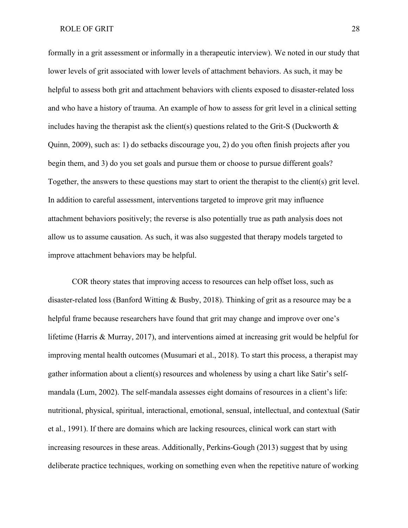formally in a grit assessment or informally in a therapeutic interview). We noted in our study that lower levels of grit associated with lower levels of attachment behaviors. As such, it may be helpful to assess both grit and attachment behaviors with clients exposed to disaster-related loss and who have a history of trauma. An example of how to assess for grit level in a clinical setting includes having the therapist ask the client(s) questions related to the Grit-S (Duckworth & Quinn, 2009), such as: 1) do setbacks discourage you, 2) do you often finish projects after you begin them, and 3) do you set goals and pursue them or choose to pursue different goals? Together, the answers to these questions may start to orient the therapist to the client(s) grit level. In addition to careful assessment, interventions targeted to improve grit may influence attachment behaviors positively; the reverse is also potentially true as path analysis does not allow us to assume causation. As such, it was also suggested that therapy models targeted to improve attachment behaviors may be helpful.

COR theory states that improving access to resources can help offset loss, such as disaster-related loss (Banford Witting & Busby, 2018). Thinking of grit as a resource may be a helpful frame because researchers have found that grit may change and improve over one's lifetime (Harris & Murray, 2017), and interventions aimed at increasing grit would be helpful for improving mental health outcomes (Musumari et al., 2018). To start this process, a therapist may gather information about a client(s) resources and wholeness by using a chart like Satir's selfmandala (Lum, 2002). The self-mandala assesses eight domains of resources in a client's life: nutritional, physical, spiritual, interactional, emotional, sensual, intellectual, and contextual (Satir et al., 1991). If there are domains which are lacking resources, clinical work can start with increasing resources in these areas. Additionally, Perkins-Gough (2013) suggest that by using deliberate practice techniques, working on something even when the repetitive nature of working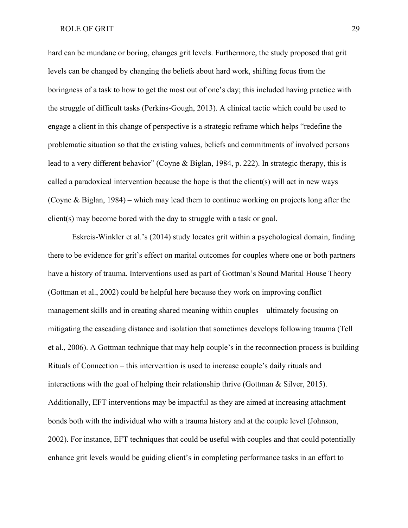hard can be mundane or boring, changes grit levels. Furthermore, the study proposed that grit levels can be changed by changing the beliefs about hard work, shifting focus from the boringness of a task to how to get the most out of one's day; this included having practice with the struggle of difficult tasks (Perkins-Gough, 2013). A clinical tactic which could be used to engage a client in this change of perspective is a strategic reframe which helps "redefine the problematic situation so that the existing values, beliefs and commitments of involved persons lead to a very different behavior" (Coyne & Biglan, 1984, p. 222). In strategic therapy, this is called a paradoxical intervention because the hope is that the client(s) will act in new ways (Coyne & Biglan, 1984) – which may lead them to continue working on projects long after the client(s) may become bored with the day to struggle with a task or goal.

Eskreis-Winkler et al.'s (2014) study locates grit within a psychological domain, finding there to be evidence for grit's effect on marital outcomes for couples where one or both partners have a history of trauma. Interventions used as part of Gottman's Sound Marital House Theory (Gottman et al., 2002) could be helpful here because they work on improving conflict management skills and in creating shared meaning within couples – ultimately focusing on mitigating the cascading distance and isolation that sometimes develops following trauma (Tell et al., 2006). A Gottman technique that may help couple's in the reconnection process is building Rituals of Connection – this intervention is used to increase couple's daily rituals and interactions with the goal of helping their relationship thrive (Gottman  $\&$  Silver, 2015). Additionally, EFT interventions may be impactful as they are aimed at increasing attachment bonds both with the individual who with a trauma history and at the couple level (Johnson, 2002). For instance, EFT techniques that could be useful with couples and that could potentially enhance grit levels would be guiding client's in completing performance tasks in an effort to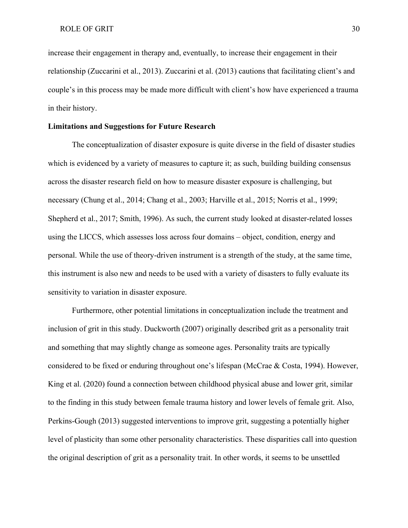increase their engagement in therapy and, eventually, to increase their engagement in their relationship (Zuccarini et al., 2013). Zuccarini et al. (2013) cautions that facilitating client's and couple's in this process may be made more difficult with client's how have experienced a trauma in their history.

#### <span id="page-37-0"></span>**Limitations and Suggestions for Future Research**

The conceptualization of disaster exposure is quite diverse in the field of disaster studies which is evidenced by a variety of measures to capture it; as such, building building consensus across the disaster research field on how to measure disaster exposure is challenging, but necessary (Chung et al., 2014; Chang et al., 2003; Harville et al., 2015; Norris et al., 1999; Shepherd et al., 2017; Smith, 1996). As such, the current study looked at disaster-related losses using the LICCS, which assesses loss across four domains – object, condition, energy and personal. While the use of theory-driven instrument is a strength of the study, at the same time, this instrument is also new and needs to be used with a variety of disasters to fully evaluate its sensitivity to variation in disaster exposure.

Furthermore, other potential limitations in conceptualization include the treatment and inclusion of grit in this study. Duckworth (2007) originally described grit as a personality trait and something that may slightly change as someone ages. Personality traits are typically considered to be fixed or enduring throughout one's lifespan (McCrae & Costa, 1994). However, King et al. (2020) found a connection between childhood physical abuse and lower grit, similar to the finding in this study between female trauma history and lower levels of female grit. Also, Perkins-Gough (2013) suggested interventions to improve grit, suggesting a potentially higher level of plasticity than some other personality characteristics. These disparities call into question the original description of grit as a personality trait. In other words, it seems to be unsettled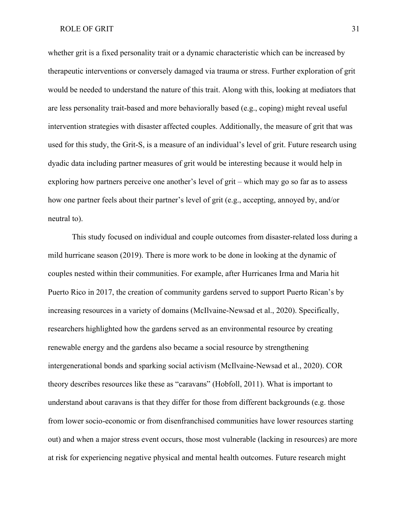whether grit is a fixed personality trait or a dynamic characteristic which can be increased by therapeutic interventions or conversely damaged via trauma or stress. Further exploration of grit would be needed to understand the nature of this trait. Along with this, looking at mediators that are less personality trait-based and more behaviorally based (e.g., coping) might reveal useful intervention strategies with disaster affected couples. Additionally, the measure of grit that was used for this study, the Grit-S, is a measure of an individual's level of grit. Future research using dyadic data including partner measures of grit would be interesting because it would help in exploring how partners perceive one another's level of grit – which may go so far as to assess how one partner feels about their partner's level of grit (e.g., accepting, annoyed by, and/or neutral to).

This study focused on individual and couple outcomes from disaster-related loss during a mild hurricane season (2019). There is more work to be done in looking at the dynamic of couples nested within their communities. For example, after Hurricanes Irma and Maria hit Puerto Rico in 2017, the creation of community gardens served to support Puerto Rican's by increasing resources in a variety of domains (McIlvaine-Newsad et al., 2020). Specifically, researchers highlighted how the gardens served as an environmental resource by creating renewable energy and the gardens also became a social resource by strengthening intergenerational bonds and sparking social activism (McIlvaine-Newsad et al., 2020). COR theory describes resources like these as "caravans" (Hobfoll, 2011). What is important to understand about caravans is that they differ for those from different backgrounds (e.g. those from lower socio-economic or from disenfranchised communities have lower resources starting out) and when a major stress event occurs, those most vulnerable (lacking in resources) are more at risk for experiencing negative physical and mental health outcomes. Future research might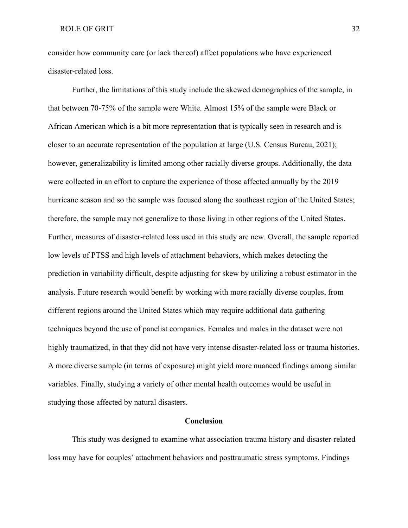consider how community care (or lack thereof) affect populations who have experienced disaster-related loss.

Further, the limitations of this study include the skewed demographics of the sample, in that between 70-75% of the sample were White. Almost 15% of the sample were Black or African American which is a bit more representation that is typically seen in research and is closer to an accurate representation of the population at large (U.S. Census Bureau, 2021); however, generalizability is limited among other racially diverse groups. Additionally, the data were collected in an effort to capture the experience of those affected annually by the 2019 hurricane season and so the sample was focused along the southeast region of the United States; therefore, the sample may not generalize to those living in other regions of the United States. Further, measures of disaster-related loss used in this study are new. Overall, the sample reported low levels of PTSS and high levels of attachment behaviors, which makes detecting the prediction in variability difficult, despite adjusting for skew by utilizing a robust estimator in the analysis. Future research would benefit by working with more racially diverse couples, from different regions around the United States which may require additional data gathering techniques beyond the use of panelist companies. Females and males in the dataset were not highly traumatized, in that they did not have very intense disaster-related loss or trauma histories. A more diverse sample (in terms of exposure) might yield more nuanced findings among similar variables. Finally, studying a variety of other mental health outcomes would be useful in studying those affected by natural disasters.

#### **Conclusion**

<span id="page-39-0"></span>This study was designed to examine what association trauma history and disaster-related loss may have for couples' attachment behaviors and posttraumatic stress symptoms. Findings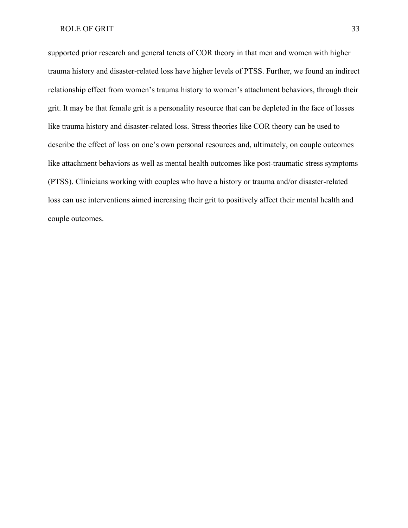supported prior research and general tenets of COR theory in that men and women with higher trauma history and disaster-related loss have higher levels of PTSS. Further, we found an indirect relationship effect from women's trauma history to women's attachment behaviors, through their grit. It may be that female grit is a personality resource that can be depleted in the face of losses like trauma history and disaster-related loss. Stress theories like COR theory can be used to describe the effect of loss on one's own personal resources and, ultimately, on couple outcomes like attachment behaviors as well as mental health outcomes like post-traumatic stress symptoms (PTSS). Clinicians working with couples who have a history or trauma and/or disaster-related loss can use interventions aimed increasing their grit to positively affect their mental health and couple outcomes.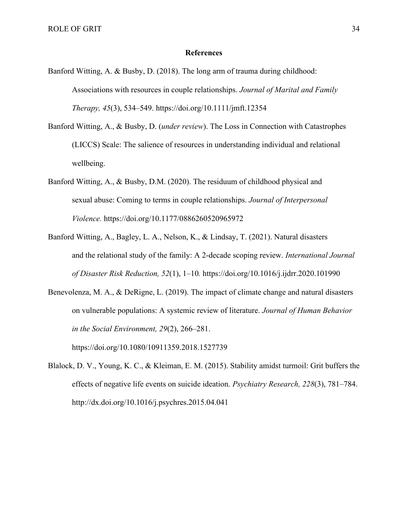#### **References**

- <span id="page-41-0"></span>Banford Witting, A. & Busby, D. (2018). The long arm of trauma during childhood: Associations with resources in couple relationships. *Journal of Marital and Family Therapy, 45*(3), 534–549. [https://doi.org/1](https://doi.org/10.1080/10911359.2018.1527739)0.1111/jmft.12354
- Banford Witting, A., & Busby, D. (*under review*). The Loss in Connection with Catastrophes (LICCS) Scale: The salience of resources in understanding individual and relational wellbeing.
- Banford Witting, A., & Busby, D.M. (2020). The residuum of childhood physical and sexual abuse: Coming to terms in couple relationships. *Journal of Interpersonal Violence.* [https://doi.org/10.1177/0886260520965972](https://doi.org/10.1177%2F0886260520965972)
- Banford Witting, A., Bagley, L. A., Nelson, K., & Lindsay, T. (2021). Natural disasters and the relational study of the family: A 2-decade scoping review. *International Journal of Disaster Risk Reduction, 52*(1), 1–10*.* <https://doi.org/10.1016/j.ijdrr.2020.101990>
- Benevolenza, M. A., & DeRigne, L. (2019). The impact of climate change and natural disasters on vulnerable populations: A systemic review of literature. *Journal of Human Behavior in the Social Environment, 29*(2), 266–281[.](https://doi.org/10.1080/10911359.2018.1527739)

<https://doi.org/10.1080/10911359.2018.1527739>

Blalock, D. V., Young, K. C., & Kleiman, E. M. (2015). Stability amidst turmoil: Grit buffers the effects of negative life events on suicide ideation. *Psychiatry Research, 228*(3), 781–784. http://dx.doi.org/10.1016/j.psychres.2015.04.041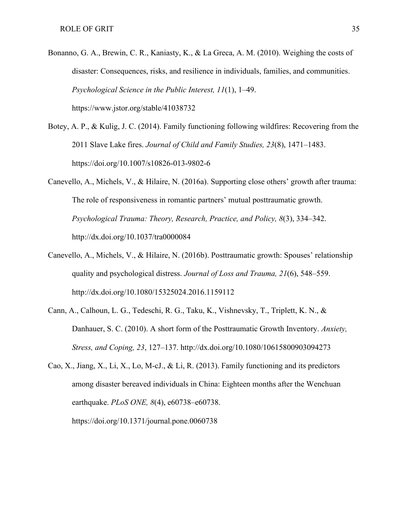- Bonanno, G. A., Brewin, C. R., Kaniasty, K., & La Greca, A. M. (2010). Weighing the costs of disaster: Consequences, risks, and resilience in individuals, families, and communities. *Psychological Science in the Public Interest, 11*(1), 1–49. https://www.jstor.org/stable/41038732
- Botey, A. P., & Kulig, J. C. (2014). Family functioning following wildfires: Recovering from the 2011 Slave Lake fires. *Journal of Child and Family Studies, 23*(8), 1471–1483. <https://doi.org/10.1007/s10826-013-9802-6>
- Canevello, A., Michels, V., & Hilaire, N. (2016a). Supporting close others' growth after trauma: The role of responsiveness in romantic partners' mutual posttraumatic growth. *Psychological Trauma: Theory, Research, Practice, and Policy, 8*(3), 334–342[.](http://dx.doi.org/10.1037/tra0000084) <http://dx.doi.org/10.1037/tra0000084>
- Canevello, A., Michels, V., & Hilaire, N. (2016b). Posttraumatic growth: Spouses' relationship quality and psychological distress. *Journal of Loss and Trauma, 21*(6), 548–559. <http://dx.doi.org/10.1080/15325024.2016.1159112>
- Cann, A., Calhoun, L. G., Tedeschi, R. G., Taku, K., Vishnevsky, T., Triplett, K. N., & Danhauer, S. C. (2010). A short form of the Posttraumatic Growth Inventory. *Anxiety, Stress, and Coping, 23*, 127–137.<http://dx.doi.org/10.1080/10615800903094273>
- Cao, X., Jiang, X., Li, X., Lo, M-cJ., & Li, R. (2013). Family functioning and its predictors among disaster bereaved individuals in China: Eighteen months after the Wenchuan earthquake. *PLoS ONE, 8*(4), e60738–e60738.

<https://doi.org/10.1371/journal.pone.0060738>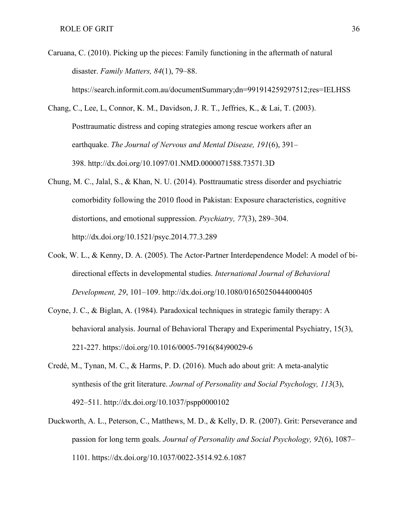- Caruana, C. (2010). Picking up the pieces: Family functioning in the aftermath of natural disaster. *Family Matters, 84*(1), 79–88. https://search.informit.com.au/documentSummary;dn=991914259297512;res=IELHSS
- Chang, C., Lee, L, Connor, K. M., Davidson, J. R. T., Jeffries, K., & Lai, T. (2003). Posttraumatic distress and coping strategies among rescue workers after an earthquake. *The Journal of Nervous and Mental Disease, 191*(6), 391– 398. <http://dx.doi.org/10.1097/01.NMD.0000071588.73571.3D>
- Chung, M. C., Jalal, S., & Khan, N. U. (2014). Posttraumatic stress disorder and psychiatric comorbidity following the 2010 flood in Pakistan: Exposure characteristics, cognitive distortions, and emotional suppression. *Psychiatry, 77*(3), 289–304. <http://dx.doi.org/10.1521/psyc.2014.77.3.289>
- Cook, W. L., & Kenny, D. A. (2005). The Actor-Partner Interdependence Model: A model of bidirectional effects in developmental studies. *International Journal of Behavioral Development, 29*, 101–109. <http://dx.doi.org/10.1080/01650250444000405>
- Coyne, J. C., & Biglan, A. (1984). Paradoxical techniques in strategic family therapy: A behavioral analysis. Journal of Behavioral Therapy and Experimental Psychiatry, 15(3), 221-227. [https://doi.org/10.1016/0005-7916\(84\)90029-6](https://doi.org/10.1016/0005-7916(84)90029-6)
- Credé, M., Tynan, M. C., & Harms, P. D. (2016). Much ado about grit: A meta-analytic synthesis of the grit literature. *Journal of Personality and Social Psychology, 113*(3), 492–511.<http://dx.doi.org/10.1037/pspp0000102>
- Duckworth, A. L., Peterson, C., Matthews, M. D., & Kelly, D. R. (2007). Grit: Perseverance and passion for long term goals. *Journal of Personality and Social Psychology, 92*(6), 1087– 1101.<https://dx.doi.org/10.1037/0022-3514.92.6.1087>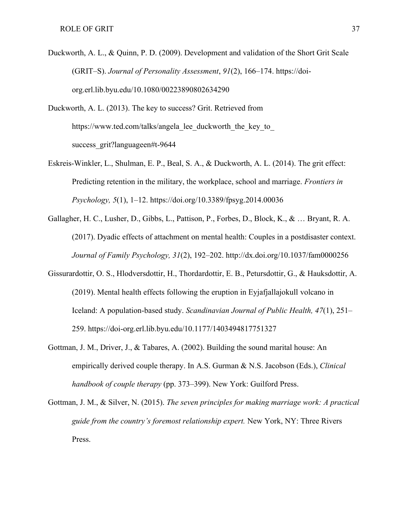- Duckworth, A. L., & Quinn, P. D. (2009). Development and validation of the Short Grit Scale (GRIT–S). *Journal of Personality Assessment*, *91*(2), 166–174. [https://doi](https://doi-org.erl.lib.byu.edu/10.1080/00223890802634290)[org.erl.lib.byu.edu/10.1080/00223890802634290](https://doi-org.erl.lib.byu.edu/10.1080/00223890802634290)
- Duckworth, A. L. (2013). The key to success? Grit. Retrieved from https://www.ted.com/talks/angela lee duckworth the key to success grit?languageen#t-9644
- Eskreis-Winkler, L., Shulman, E. P., Beal, S. A., & Duckworth, A. L. (2014). The grit effect: Predicting retention in the military, the workplace, school and marriage. *Frontiers in Psychology, 5*(1), 1–12.<https://doi.org/10.3389/fpsyg.2014.00036>
- Gallagher, H. C., Lusher, D., Gibbs, L., Pattison, P., Forbes, D., Block, K., & … Bryant, R. A. (2017). Dyadic effects of attachment on mental health: Couples in a postdisaster context. *Journal of Family Psychology, 31*(2), 192–202.<http://dx.doi.org/10.1037/fam0000256>
- Gissurardottir, O. S., Hlodversdottir, H., Thordardottir, E. B., Petursdottir, G., & Hauksdottir, A. (2019). Mental health effects following the eruption in Eyjafjallajokull volcano in Iceland: A population-based study. *Scandinavian Journal of Public Health, 47*(1), 251– 259. [https://doi-org.erl.lib.byu.edu/10.1177/1403494817751327](https://doi-org.erl.lib.byu.edu/10.1177%2F1403494817751327)
- Gottman, J. M., Driver, J., & Tabares, A. (2002). Building the sound marital house: An empirically derived couple therapy. In A.S. Gurman & N.S. Jacobson (Eds.), *Clinical handbook of couple therapy* (pp. 373–399). New York: Guilford Press.
- Gottman, J. M., & Silver, N. (2015). *The seven principles for making marriage work: A practical guide from the country's foremost relationship expert.* New York, NY: Three Rivers Press.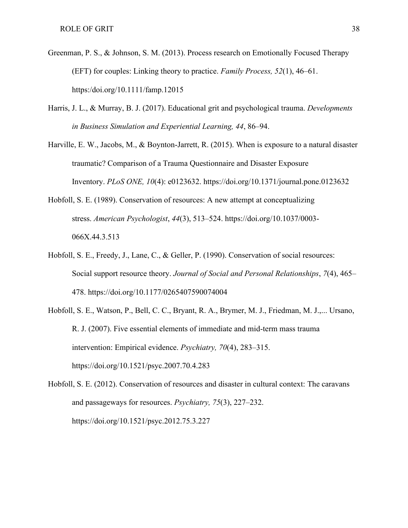- Greenman, P. S., & Johnson, S. M. (2013). Process research on Emotionally Focused Therapy (EFT) for couples: Linking theory to practice. *Family Process, 52*(1), 46–61. https:/doi.org/10.1111/famp.12015
- Harris, J. L., & Murray, B. J. (2017). Educational grit and psychological trauma. *Developments in Business Simulation and Experiential Learning, 44*, 86–94.
- Harville, E. W., Jacobs, M., & Boynton-Jarrett, R. (2015). When is exposure to a natural disaster traumatic? Comparison of a Trauma Questionnaire and Disaster Exposure Inventory. *PLoS ONE, 10*(4): e0123632. <https://doi.org/10.1371/journal.pone.0123632>
- Hobfoll, S. E. (1989). Conservation of resources: A new attempt at conceptualizing stress. *American Psychologist*, *44*(3), 513–524. [https://doi.org/10.1037/0003-](https://doi.org/10.1037/0003-066X.44.3.513) [066X.44.3.513](https://doi.org/10.1037/0003-066X.44.3.513)
- Hobfoll, S. E., Freedy, J., Lane, C., & Geller, P. (1990). Conservation of social resources: Social support resource theory. *Journal of Social and Personal Relationships*, *7*(4), 465– 478.<https://doi.org/10.1177/0265407590074004>
- Hobfoll, S. E., Watson, P., Bell, C. C., Bryant, R. A., Brymer, M. J., Friedman, M. J.,... Ursano, R. J. (2007). Five essential elements of immediate and mid-term mass trauma intervention: Empirical evidence. *Psychiatry, 70*(4), 283–315. <https://doi.org/10.1521/psyc.2007.70.4.283>
- Hobfoll, S. E. (2012). Conservation of resources and disaster in cultural context: The caravans and passageways for resources. *Psychiatry, 75*(3), 227–232[.](https://doi.org/10.1521/psyc.2012.75.3.227) <https://doi.org/10.1521/psyc.2012.75.3.227>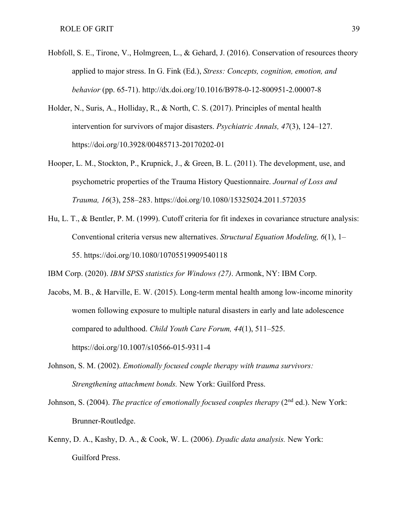- Hobfoll, S. E., Tirone, V., Holmgreen, L., & Gehard, J. (2016). Conservation of resources theory applied to major stress. In G. Fink (Ed.), *Stress: Concepts, cognition, emotion, and behavior* (pp. 65-71).<http://dx.doi.org/10.1016/B978-0-12-800951-2.00007-8>
- Holder, N., Suris, A., Holliday, R., & North, C. S. (2017). Principles of mental health intervention for survivors of major disasters. *Psychiatric Annals, 47*(3), 124–127. <https://doi.org/10.3928/00485713-20170202-01>
- Hooper, L. M., Stockton, P., Krupnick, J., & Green, B. L. (2011). The development, use, and psychometric properties of the Trauma History Questionnaire. *Journal of Loss and Trauma, 16*(3), 258–283.<https://doi.org/10.1080/15325024.2011.572035>
- Hu, L. T., & Bentler, P. M. (1999). Cutoff criteria for fit indexes in covariance structure analysis: Conventional criteria versus new alternatives. *Structural Equation Modeling, 6*(1), 1– 55. [https://doi.org/10.1080/10705519909540118](https://psycnet.apa.org/doi/10.1080/10705519909540118)

IBM Corp. (2020). *IBM SPSS statistics for Windows (27)*. Armonk, NY: IBM Corp.

- Jacobs, M. B., & Harville, E. W. (2015). Long-term mental health among low-income minority women following exposure to multiple natural disasters in early and late adolescence compared to adulthood. *Child Youth Care Forum, 44*(1), 511–525. <https://doi.org/10.1007/s10566-015-9311-4>
- Johnson, S. M. (2002). *Emotionally focused couple therapy with trauma survivors: Strengthening attachment bonds.* New York: Guilford Press.
- Johnson, S. (2004). *The practice of emotionally focused couples therapy* (2<sup>nd</sup> ed.). New York: Brunner-Routledge.
- Kenny, D. A., Kashy, D. A., & Cook, W. L. (2006). *Dyadic data analysis.* New York: Guilford Press.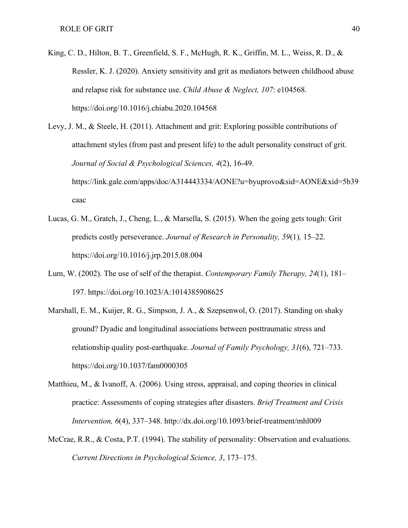King, C. D., Hilton, B. T., Greenfield, S. F., McHugh, R. K., Griffin, M. L., Weiss, R. D., & Ressler, K. J. (2020). Anxiety sensitivity and grit as mediators between childhood abuse and relapse risk for substance use. *Child Abuse & Neglect, 107*: e104568. <https://doi.org/10.1016/j.chiabu.2020.104568>

Levy, J. M., & Steele, H. (2011). Attachment and grit: Exploring possible contributions of attachment styles (from past and present life) to the adult personality construct of grit. *Journal of Social & Psychological Sciences, 4*(2), 16-49. [https://link.gale.com/apps/doc/A314443334/AONE?u=byuprovo&sid=AONE&xid=5b39](https://link.gale.com/apps/doc/A314443334/AONE?u=byuprovo&sid=AONE&xid=5b39caac) [caac](https://link.gale.com/apps/doc/A314443334/AONE?u=byuprovo&sid=AONE&xid=5b39caac)

- Lucas, G. M., Gratch, J., Cheng, L., & Marsella, S. (2015). When the going gets tough: Grit predicts costly perseverance. *Journal of Research in Personality, 59*(1)*,* 15–22. <https://doi.org/10.1016/j.jrp.2015.08.004>
- Lum, W. (2002). The use of self of the therapist. *Contemporary Family Therapy, 24*(1), 181– 197. https://doi.org/10.1023/A:1014385908625
- Marshall, E. M., Kuijer, R. G., Simpson, J. A., & Szepsenwol, O. (2017). Standing on shaky ground? Dyadic and longitudinal associations between posttraumatic stress and relationship quality post-earthquake. *Journal of Family Psychology, 31*(6), 721–733. [https://doi.org/10.1037/fam0000305](https://psycnet.apa.org/doi/10.1037/fam0000305)
- Matthieu, M., & Ivanoff, A. (2006). Using stress, appraisal, and coping theories in clinical practice: Assessments of coping strategies after disasters. *Brief Treatment and Crisis Intervention, 6*(4), 337–348.<http://dx.doi.org/10.1093/brief-treatment/mhl009>
- McCrae, R.R., & Costa, P.T. (1994). The stability of personality: Observation and evaluations. *Current Directions in Psychological Science, 3*, 173–175.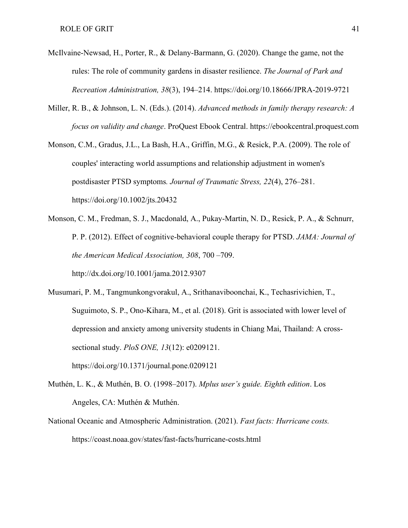- McIlvaine-Newsad, H., Porter, R., & Delany-Barmann, G. (2020). Change the game, not the rules: The role of community gardens in disaster resilience. *The Journal of Park and Recreation Administration, 38*(3), 194–214.<https://doi.org/10.18666/JPRA-2019-9721>
- Miller, R. B., & Johnson, L. N. (Eds.). (2014). *Advanced methods in family therapy research: A focus on validity and change*. ProQuest Ebook Central. [https://ebookcentral.proquest.com](https://ebookcentral.proquest.com/)
- Monson, C.M., Gradus, J.L., La Bash, H.A., Griffin, M.G., & Resick, P.A. (2009). The role of couples' interacting world assumptions and relationship adjustment in women's postdisaster PTSD symptoms*. Journal of Traumatic Stress, 22*(4), 276–281. <https://doi.org/10.1002/jts.20432>
- Monson, C. M., Fredman, S. J., Macdonald, A., Pukay-Martin, N. D., Resick, P. A., & Schnurr, P. P. (2012). Effect of cognitive-behavioral couple therapy for PTSD. *JAMA: Journal of the American Medical Association, 308*, 700 –709. <http://dx.doi.org/10.1001/jama.2012.9307>

Musumari, P. M., Tangmunkongvorakul, A., Srithanaviboonchai, K., Techasrivichien, T., Suguimoto, S. P., Ono-Kihara, M., et al. (2018). Grit is associated with lower level of depression and anxiety among university students in Chiang Mai, Thailand: A crosssectional study. *PloS ONE, 13*(12): e0209121. <https://doi.org/10.1371/journal.pone.0209121>

Muthén, L. K., & Muthén, B. O. (1998–2017). *Mplus user's guide. Eighth edition*. Los

Angeles, CA: Muthén & Muthén.

National Oceanic and Atmospheric Administration. (2021). *Fast facts: Hurricane costs.* https://coast.noaa.gov/states/fast-facts/hurricane-costs.html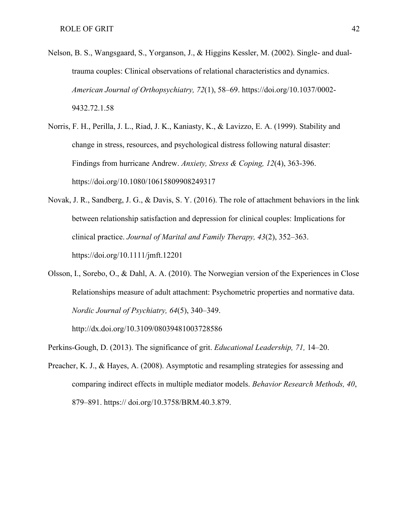- Nelson, B. S., Wangsgaard, S., Yorganson, J., & Higgins Kessler, M. (2002). Single- and dualtrauma couples: Clinical observations of relational characteristics and dynamics. *American Journal of Orthopsychiatry, 72*(1), 58–69. [https://doi.org/10.1037/0002-](https://doi.org/10.1037/0002-9432.72.1.58) [9432.72.1.58](https://doi.org/10.1037/0002-9432.72.1.58)
- Norris, F. H., Perilla, J. L., Riad, J. K., Kaniasty, K., & Lavizzo, E. A. (1999). Stability and change in stress, resources, and psychological distress following natural disaster: Findings from hurricane Andrew. *Anxiety, Stress & Coping, 12*(4), 363-396. https://doi.org/10.1080/10615809908249317
- Novak, J. R., Sandberg, J. G., & Davis, S. Y. (2016). The role of attachment behaviors in the link between relationship satisfaction and depression for clinical couples: Implications for clinical practice. *Journal of Marital and Family Therapy, 43*(2), 352–363. <https://doi.org/10.1111/jmft.12201>
- Olsson, I., Sorebo, O., & Dahl, A. A. (2010). The Norwegian version of the Experiences in Close Relationships measure of adult attachment: Psychometric properties and normative data. *Nordic Journal of Psychiatry, 64*(5), 340–349.

<http://dx.doi.org/10.3109/08039481003728586>

Perkins-Gough, D. (2013). The significance of grit. *Educational Leadership, 71,* 14–20.

Preacher, K. J., & Hayes, A. (2008). Asymptotic and resampling strategies for assessing and comparing indirect effects in multiple mediator models. *Behavior Research Methods, 40*, 879–891. https:// doi.org/10.3758/BRM.40.3.879.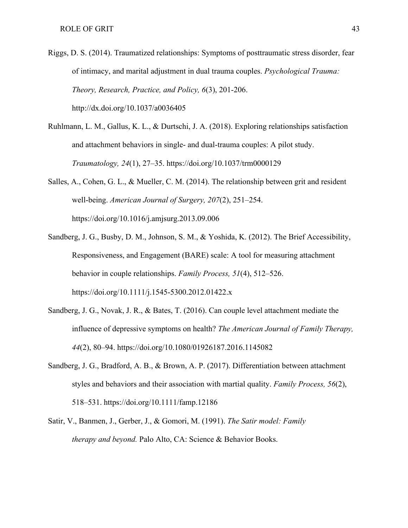- Riggs, D. S. (2014). Traumatized relationships: Symptoms of posttraumatic stress disorder, fear of intimacy, and marital adjustment in dual trauma couples. *Psychological Trauma: Theory, Research, Practice, and Policy, 6*(3), 201-206. <http://dx.doi.org/10.1037/a0036405>
- Ruhlmann, L. M., Gallus, K. L., & Durtschi, J. A. (2018). Exploring relationships satisfaction and attachment behaviors in single- and dual-trauma couples: A pilot study. *Traumatology, 24*(1), 27–35[.](https://doi.apa.org/doi/10.1037/trm0000129) [https://doi.org/10.1037/trm0000129](https://doi.apa.org/doi/10.1037/trm0000129)
- Salles, A., Cohen, G. L., & Mueller, C. M. (2014). The relationship between grit and resident well-being. *American Journal of Surgery, 207*(2), 251–254. <https://doi.org/10.1016/j.amjsurg.2013.09.006>
- Sandberg, J. G., Busby, D. M., Johnson, S. M., & Yoshida, K. (2012). The Brief Accessibility, Responsiveness, and Engagement (BARE) scale: A tool for measuring attachment behavior in couple relationships. *Family Process, 51*(4), 512–526. <https://doi.org/10.1111/j.1545-5300.2012.01422.x>
- Sandberg, J. G., Novak, J. R., & Bates, T. (2016). Can couple level attachment mediate the influence of depressive symptoms on health? *The American Journal of Family Therapy, 44*(2), 80–94. <https://doi.org/10.1080/01926187.2016.1145082>
- Sandberg, J. G., Bradford, A. B., & Brown, A. P. (2017). Differentiation between attachment styles and behaviors and their association with martial quality. *Family Process, 56*(2), 518–531. <https://doi.org/10.1111/famp.12186>
- Satir, V., Banmen, J., Gerber, J., & Gomori, M. (1991). *The Satir model: Family therapy and beyond.* Palo Alto, CA: Science & Behavior Books.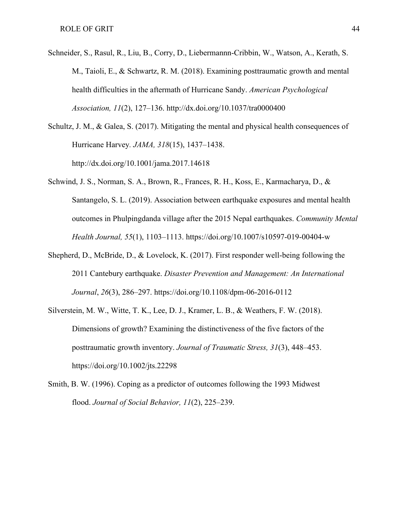- Schneider, S., Rasul, R., Liu, B., Corry, D., Liebermannn-Cribbin, W., Watson, A., Kerath, S. M., Taioli, E., & Schwartz, R. M. (2018). Examining posttraumatic growth and mental health difficulties in the aftermath of Hurricane Sandy. *American Psychological Association, 11*(2), 127–136[.](http://dx.doi.org/10.1037/tra0000400) <http://dx.doi.org/10.1037/tra0000400>
- Schultz, J. M., & Galea, S. (2017). Mitigating the mental and physical health consequences of Hurricane Harvey*. JAMA, 318*(15), 1437–1438. <http://dx.doi.org/10.1001/jama.2017.14618>
- Schwind, J. S., Norman, S. A., Brown, R., Frances, R. H., Koss, E., Karmacharya, D., & Santangelo, S. L. (2019). Association between earthquake exposures and mental health outcomes in Phulpingdanda village after the 2015 Nepal earthquakes. *Community Mental Health Journal, 55*(1), 1103–1113[.](https://doi.org/10.1007/s10597-019-00404-w) <https://doi.org/10.1007/s10597-019-00404-w>
- Shepherd, D., McBride, D., & Lovelock, K. (2017). First responder well-being following the 2011 Cantebury earthquake. *Disaster Prevention and Management: An International Journal*, *26*(3), 286–297.<https://doi.org/10.1108/dpm-06-2016-0112>
- Silverstein, M. W., Witte, T. K., Lee, D. J., Kramer, L. B., & Weathers, F. W. (2018). Dimensions of growth? Examining the distinctiveness of the five factors of the posttraumatic growth inventory. *Journal of Traumatic Stress, 31*(3), 448–453. <https://doi.org/10.1002/jts.22298>
- Smith, B. W. (1996). Coping as a predictor of outcomes following the 1993 Midwest flood. *Journal of Social Behavior, 11*(2), 225–239.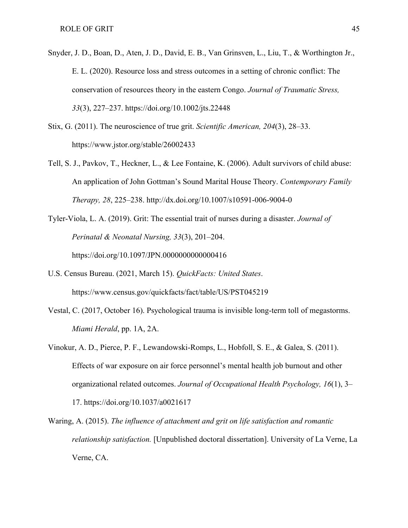- Snyder, J. D., Boan, D., Aten, J. D., David, E. B., Van Grinsven, L., Liu, T., & Worthington Jr., E. L. (2020). Resource loss and stress outcomes in a setting of chronic conflict: The conservation of resources theory in the eastern Congo. *Journal of Traumatic Stress, 33*(3), 227–237.<https://doi.org/10.1002/jts.22448>
- Stix, G. (2011). The neuroscience of true grit. *Scientific American, 204*(3), 28–33. https://www.jstor.org/stable/26002433
- Tell, S. J., Pavkov, T., Heckner, L., & Lee Fontaine, K. (2006). Adult survivors of child abuse: An application of John Gottman's Sound Marital House Theory. *Contemporary Family Therapy, 28*, 225–238.<http://dx.doi.org/10.1007/s10591-006-9004-0>
- Tyler-Viola, L. A. (2019). Grit: The essential trait of nurses during a disaster. *Journal of Perinatal & Neonatal Nursing, 33*(3), 201–204. https://doi.org/10.1097/JPN.0000000000000416
- U.S. Census Bureau. (2021, March 15). *QuickFacts: United States*. <https://www.census.gov/quickfacts/fact/table/US/PST045219>
- Vestal, C. (2017, October 16). Psychological trauma is invisible long-term toll of megastorms. *Miami Herald*, pp. 1A, 2A.
- Vinokur, A. D., Pierce, P. F., Lewandowski-Romps, L., Hobfoll, S. E., & Galea, S. (2011). Effects of war exposure on air force personnel's mental health job burnout and other organizational related outcomes. *Journal of Occupational Health Psychology, 16*(1), 3– 17. [https://doi.org/1](https://doi.org/10.1002/jts.22448)0.1037/a0021617
- Waring, A. (2015). *The influence of attachment and grit on life satisfaction and romantic relationship satisfaction.* [Unpublished doctoral dissertation]. University of La Verne, La Verne, CA.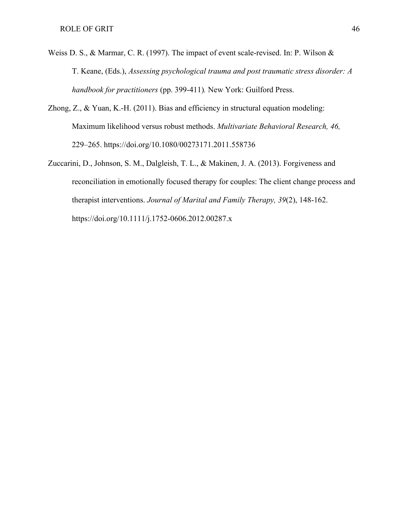- Weiss D. S., & Marmar, C. R. (1997). The impact of event scale-revised. In: P. Wilson & T. Keane, (Eds.), *Assessing psychological trauma and post traumatic stress disorder: A handbook for practitioners* (pp. 399-411)*.* New York: Guilford Press.
- Zhong, Z., & Yuan, K.-H. (2011). Bias and efficiency in structural equation modeling: Maximum likelihood versus robust methods. *Multivariate Behavioral Research, 46,*  229–265.<https://doi.org/10.1080/00273171.2011.558736>
- Zuccarini, D., Johnson, S. M., Dalgleish, T. L., & Makinen, J. A. (2013). Forgiveness and reconciliation in emotionally focused therapy for couples: The client change process and therapist interventions. *Journal of Marital and Family Therapy, 39*(2), 148-162. https://doi.org/10.1111/j.1752-0606.2012.00287.x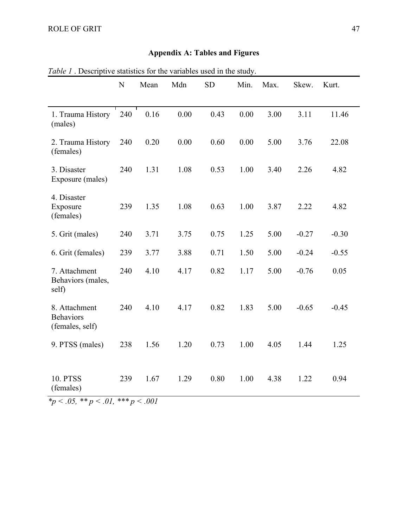## **Appendix A: Tables and Figures**

| 1.100011                                                          | ${\bf N}$ | Mean | are statistics for the railwores asea in the stati<br>Mdn | <b>SD</b> | Min. | Max. | Skew.   | Kurt.   |
|-------------------------------------------------------------------|-----------|------|-----------------------------------------------------------|-----------|------|------|---------|---------|
| 1. Trauma History<br>(males)                                      | 240       | 0.16 | 0.00                                                      | 0.43      | 0.00 | 3.00 | 3.11    | 11.46   |
| 2. Trauma History<br>(females)                                    | 240       | 0.20 | 0.00                                                      | 0.60      | 0.00 | 5.00 | 3.76    | 22.08   |
| 3. Disaster<br>Exposure (males)                                   | 240       | 1.31 | 1.08                                                      | 0.53      | 1.00 | 3.40 | 2.26    | 4.82    |
| 4. Disaster<br>Exposure<br>(females)                              | 239       | 1.35 | 1.08                                                      | 0.63      | 1.00 | 3.87 | 2.22    | 4.82    |
| 5. Grit (males)                                                   | 240       | 3.71 | 3.75                                                      | 0.75      | 1.25 | 5.00 | $-0.27$ | $-0.30$ |
| 6. Grit (females)                                                 | 239       | 3.77 | 3.88                                                      | 0.71      | 1.50 | 5.00 | $-0.24$ | $-0.55$ |
| 7. Attachment<br>Behaviors (males,<br>self)                       | 240       | 4.10 | 4.17                                                      | 0.82      | 1.17 | 5.00 | $-0.76$ | 0.05    |
| 8. Attachment<br><b>Behaviors</b><br>(females, self)              | 240       | 4.10 | 4.17                                                      | 0.82      | 1.83 | 5.00 | $-0.65$ | $-0.45$ |
| 9. PTSS (males)                                                   | 238       | 1.56 | 1.20                                                      | 0.73      | 1.00 | 4.05 | 1.44    | 1.25    |
| <b>10. PTSS</b><br>(females)<br>$4$ $205$ $44$ $201$ $444$ $2001$ | 239       | 1.67 | 1.29                                                      | 0.80      | 1.00 | 4.38 | 1.22    | 0.94    |

<span id="page-54-1"></span><span id="page-54-0"></span>*Table 1* . Descriptive statistics for the variables used in the study.

*\*p < .05, \*\* p < .01, \*\*\* p < .001*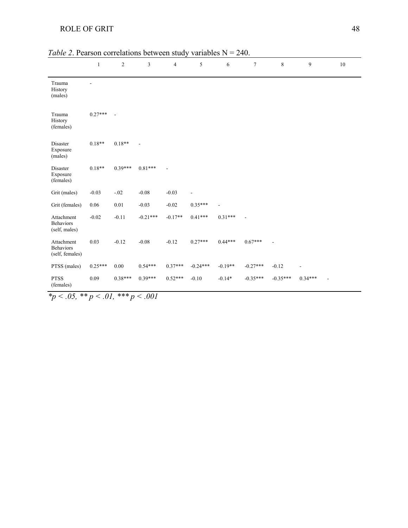| <b>ROLE OF GRIT</b> |  |
|---------------------|--|

|                                                   | $\mathbf{1}$ | $\overline{c}$ | $\mathfrak z$ | $\overline{4}$ | 5          | 6         | $\tau$     | $\,8\,$    | 9         | 10 |
|---------------------------------------------------|--------------|----------------|---------------|----------------|------------|-----------|------------|------------|-----------|----|
| Trauma<br>History<br>(males)                      |              |                |               |                |            |           |            |            |           |    |
| Trauma<br>History<br>(females)                    | $0.27***$    |                |               |                |            |           |            |            |           |    |
| Disaster<br>Exposure<br>(males)                   | $0.18**$     | $0.18**$       |               |                |            |           |            |            |           |    |
| Disaster<br>Exposure<br>(females)                 | $0.18**$     | $0.39***$      | $0.81***$     |                |            |           |            |            |           |    |
| Grit (males)                                      | $-0.03$      | $-.02$         | $-0.08$       | $-0.03$        |            |           |            |            |           |    |
| Grit (females)                                    | 0.06         | $0.01\,$       | $-0.03$       | $-0.02$        | $0.35***$  |           |            |            |           |    |
| Attachment<br><b>Behaviors</b><br>(self, males)   | $-0.02$      | $-0.11$        | $-0.21***$    | $-0.17**$      | $0.41***$  | $0.31***$ |            |            |           |    |
| Attachment<br><b>Behaviors</b><br>(self, females) | 0.03         | $-0.12$        | $-0.08$       | $-0.12$        | $0.27***$  | $0.44***$ | $0.67***$  |            |           |    |
| PTSS (males)                                      | $0.25***$    | 0.00           | $0.54***$     | $0.37***$      | $-0.24***$ | $-0.19**$ | $-0.27***$ | $-0.12$    |           |    |
| <b>PTSS</b><br>(females)                          | 0.09         | $0.38***$      | $0.39***$     | $0.52***$      | $-0.10$    | $-0.14*$  | $-0.35***$ | $-0.35***$ | $0.34***$ |    |

<span id="page-55-0"></span>

|  | <i>Table 2.</i> Pearson correlations between study variables $N = 240$ . |  |  |
|--|--------------------------------------------------------------------------|--|--|
|  |                                                                          |  |  |

<span id="page-55-1"></span>*\*p < .05, \*\* p < .01, \*\*\* p < .001*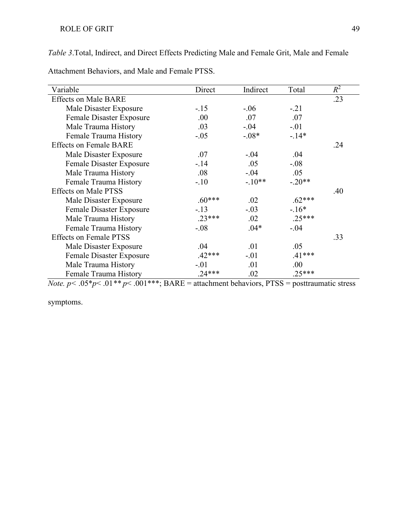*Table 3*.Total, Indirect, and Direct Effects Predicting Male and Female Grit, Male and Female

Attachment Behaviors, and Male and Female PTSS.

| Variable                      | Direct   | Indirect | Total    | $R^2$ |
|-------------------------------|----------|----------|----------|-------|
| <b>Effects on Male BARE</b>   |          |          |          | .23   |
| Male Disaster Exposure        | $-.15$   | $-.06$   | $-.21$   |       |
| Female Disaster Exposure      | .00.     | .07      | .07      |       |
| Male Trauma History           | .03      | $-.04$   | $-.01$   |       |
| Female Trauma History         | $-.05$   | $-.08*$  | $-.14*$  |       |
| <b>Effects on Female BARE</b> |          |          |          | .24   |
| Male Disaster Exposure        | .07      | $-.04$   | .04      |       |
| Female Disaster Exposure      | $-.14$   | .05      | $-.08$   |       |
| Male Trauma History           | .08      | $-.04$   | .05      |       |
| Female Trauma History         | $-.10$   | $-.10**$ | $-.20**$ |       |
| <b>Effects on Male PTSS</b>   |          |          |          | .40   |
| Male Disaster Exposure        | $.60***$ | .02      | $.62***$ |       |
| Female Disaster Exposure      | $-.13$   | $-.03$   | $-.16*$  |       |
| Male Trauma History           | $.23***$ | .02      | $.25***$ |       |
| Female Trauma History         | $-.08$   | $.04*$   | $-.04$   |       |
| <b>Effects on Female PTSS</b> |          |          |          | .33   |
| Male Disaster Exposure        | .04      | .01      | .05      |       |
| Female Disaster Exposure      | $.42***$ | $-.01$   | $.41***$ |       |
| Male Trauma History           | $-.01$   | .01      | .00      |       |
| Female Trauma History         | $.24***$ | .02      | $.25***$ |       |

*Note. p* <  $.05*p$  <  $.01**p$  <  $.001***$ ; BARE = attachment behaviors, PTSS = posttraumatic stress

symptoms.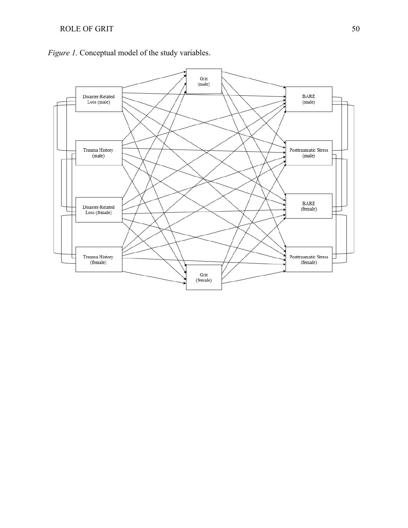

<span id="page-57-0"></span>